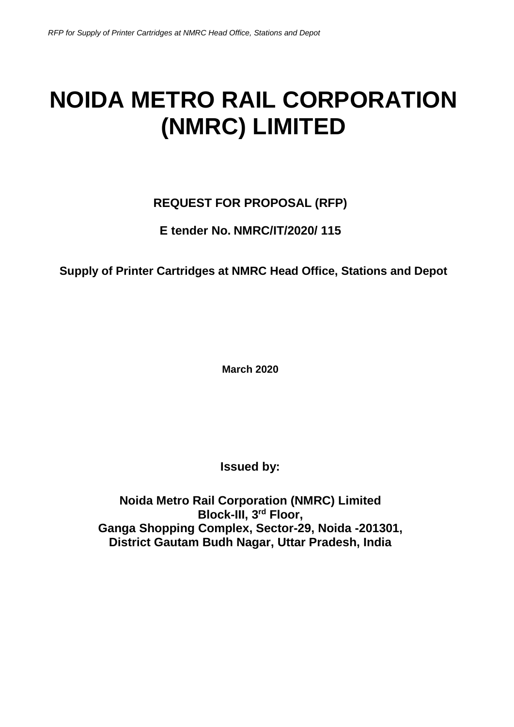# **NOIDA METRO RAIL CORPORATION (NMRC) LIMITED**

# **REQUEST FOR PROPOSAL (RFP)**

# **E tender No. NMRC/IT/2020/ 115**

# **Supply of Printer Cartridges at NMRC Head Office, Stations and Depot**

**March 2020**

**Issued by:**

**Noida Metro Rail Corporation (NMRC) Limited Block-III, 3rd Floor, Ganga Shopping Complex, Sector-29, Noida -201301, District Gautam Budh Nagar, Uttar Pradesh, India**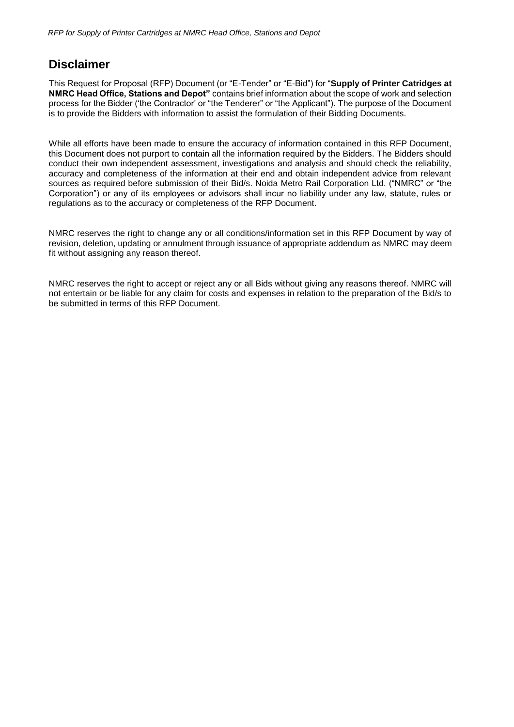### <span id="page-1-0"></span>**Disclaimer**

This Request for Proposal (RFP) Document (or "E-Tender" or "E-Bid") for "**Supply of Printer Catridges at NMRC Head Office, Stations and Depot"** contains brief information about the scope of work and selection process for the Bidder ('the Contractor' or "the Tenderer" or "the Applicant"). The purpose of the Document is to provide the Bidders with information to assist the formulation of their Bidding Documents.

While all efforts have been made to ensure the accuracy of information contained in this RFP Document, this Document does not purport to contain all the information required by the Bidders. The Bidders should conduct their own independent assessment, investigations and analysis and should check the reliability, accuracy and completeness of the information at their end and obtain independent advice from relevant sources as required before submission of their Bid/s. Noida Metro Rail Corporation Ltd. ("NMRC" or "the Corporation") or any of its employees or advisors shall incur no liability under any law, statute, rules or regulations as to the accuracy or completeness of the RFP Document.

NMRC reserves the right to change any or all conditions/information set in this RFP Document by way of revision, deletion, updating or annulment through issuance of appropriate addendum as NMRC may deem fit without assigning any reason thereof.

NMRC reserves the right to accept or reject any or all Bids without giving any reasons thereof. NMRC will not entertain or be liable for any claim for costs and expenses in relation to the preparation of the Bid/s to be submitted in terms of this RFP Document.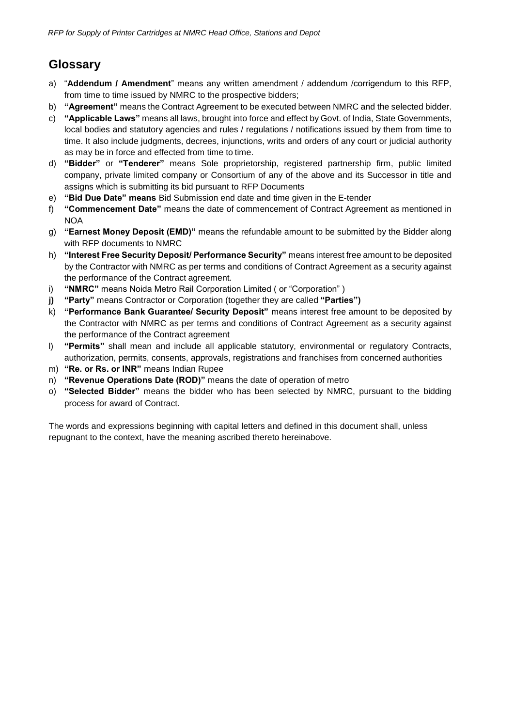# **Glossary**

- a) "**Addendum / Amendment**" means any written amendment / addendum /corrigendum to this RFP, from time to time issued by NMRC to the prospective bidders;
- b) **"Agreement"** means the Contract Agreement to be executed between NMRC and the selected bidder.
- c) **"Applicable Laws"** means all laws, brought into force and effect by Govt. of India, State Governments, local bodies and statutory agencies and rules / regulations / notifications issued by them from time to time. It also include judgments, decrees, injunctions, writs and orders of any court or judicial authority as may be in force and effected from time to time.
- d) **"Bidder"** or **"Tenderer"** means Sole proprietorship, registered partnership firm, public limited company, private limited company or Consortium of any of the above and its Successor in title and assigns which is submitting its bid pursuant to RFP Documents
- e) **"Bid Due Date" means** Bid Submission end date and time given in the E-tender
- f) **"Commencement Date"** means the date of commencement of Contract Agreement as mentioned in NOA
- g) **"Earnest Money Deposit (EMD)"** means the refundable amount to be submitted by the Bidder along with RFP documents to NMRC
- h) **"Interest Free Security Deposit/ Performance Security"** means interest free amount to be deposited by the Contractor with NMRC as per terms and conditions of Contract Agreement as a security against the performance of the Contract agreement.
- i) **"NMRC"** means Noida Metro Rail Corporation Limited ( or "Corporation" )
- **j) "Party"** means Contractor or Corporation (together they are called **"Parties")**
- k) **"Performance Bank Guarantee/ Security Deposit"** means interest free amount to be deposited by the Contractor with NMRC as per terms and conditions of Contract Agreement as a security against the performance of the Contract agreement
- l) **"Permits"** shall mean and include all applicable statutory, environmental or regulatory Contracts, authorization, permits, consents, approvals, registrations and franchises from concerned authorities
- m) **"Re. or Rs. or INR"** means Indian Rupee
- n) **"Revenue Operations Date (ROD)"** means the date of operation of metro
- o) **"Selected Bidder"** means the bidder who has been selected by NMRC, pursuant to the bidding process for award of Contract.

The words and expressions beginning with capital letters and defined in this document shall, unless repugnant to the context, have the meaning ascribed thereto hereinabove.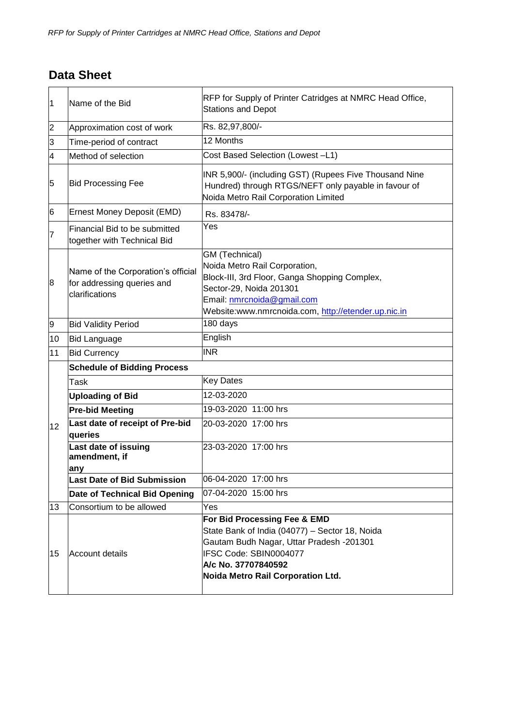# <span id="page-3-0"></span>**Data Sheet**

| 1               | Name of the Bid                                                                                                                                                                                                                     | RFP for Supply of Printer Catridges at NMRC Head Office,<br><b>Stations and Depot</b>                                                                                                                            |  |  |
|-----------------|-------------------------------------------------------------------------------------------------------------------------------------------------------------------------------------------------------------------------------------|------------------------------------------------------------------------------------------------------------------------------------------------------------------------------------------------------------------|--|--|
| 2               | Approximation cost of work                                                                                                                                                                                                          | Rs. 82,97,800/-                                                                                                                                                                                                  |  |  |
| 3               | Time-period of contract                                                                                                                                                                                                             | 12 Months                                                                                                                                                                                                        |  |  |
| 4               | Method of selection                                                                                                                                                                                                                 | Cost Based Selection (Lowest-L1)                                                                                                                                                                                 |  |  |
| 5               | <b>Bid Processing Fee</b>                                                                                                                                                                                                           | INR 5,900/- (including GST) (Rupees Five Thousand Nine<br>Hundred) through RTGS/NEFT only payable in favour of<br>Noida Metro Rail Corporation Limited                                                           |  |  |
| 6               | Ernest Money Deposit (EMD)                                                                                                                                                                                                          | Rs. 83478/-                                                                                                                                                                                                      |  |  |
| 7               | Financial Bid to be submitted<br>together with Technical Bid                                                                                                                                                                        | Yes                                                                                                                                                                                                              |  |  |
| 8               | Name of the Corporation's official<br>for addressing queries and<br>clarifications                                                                                                                                                  | GM (Technical)<br>Noida Metro Rail Corporation,<br>Block-III, 3rd Floor, Ganga Shopping Complex,<br>Sector-29, Noida 201301<br>Email: nmrcnoida@gmail.com<br>Website:www.nmrcnoida.com, http://etender.up.nic.in |  |  |
| 9               | <b>Bid Validity Period</b>                                                                                                                                                                                                          | 180 days                                                                                                                                                                                                         |  |  |
| 10              | <b>Bid Language</b>                                                                                                                                                                                                                 | English                                                                                                                                                                                                          |  |  |
| 11              | <b>Bid Currency</b>                                                                                                                                                                                                                 | <b>INR</b>                                                                                                                                                                                                       |  |  |
|                 | <b>Schedule of Bidding Process</b>                                                                                                                                                                                                  |                                                                                                                                                                                                                  |  |  |
|                 | Task                                                                                                                                                                                                                                | <b>Key Dates</b>                                                                                                                                                                                                 |  |  |
|                 | <b>Uploading of Bid</b>                                                                                                                                                                                                             | 12-03-2020                                                                                                                                                                                                       |  |  |
|                 | <b>Pre-bid Meeting</b>                                                                                                                                                                                                              | 19-03-2020 11:00 hrs                                                                                                                                                                                             |  |  |
| 12 <sup>°</sup> | Last date of receipt of Pre-bid<br>queries                                                                                                                                                                                          | 20-03-2020 17:00 hrs                                                                                                                                                                                             |  |  |
|                 | Last date of issuing<br>amendment, if<br>any                                                                                                                                                                                        | 23-03-2020 17:00 hrs                                                                                                                                                                                             |  |  |
|                 | <b>Last Date of Bid Submission</b>                                                                                                                                                                                                  | 06-04-2020 17:00 hrs                                                                                                                                                                                             |  |  |
|                 | Date of Technical Bid Opening                                                                                                                                                                                                       | 07-04-2020 15:00 hrs                                                                                                                                                                                             |  |  |
| 13              | Yes                                                                                                                                                                                                                                 |                                                                                                                                                                                                                  |  |  |
| 15              | For Bid Processing Fee & EMD<br>State Bank of India (04077) - Sector 18, Noida<br>Gautam Budh Nagar, Uttar Pradesh -201301<br>IFSC Code: SBIN0004077<br>Account details<br>A/c No. 37707840592<br>Noida Metro Rail Corporation Ltd. |                                                                                                                                                                                                                  |  |  |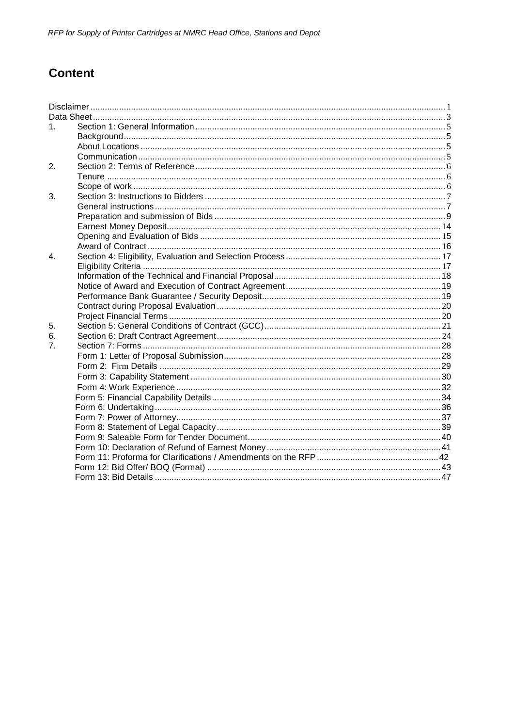# **Content**

| $1_{-}$        |  |
|----------------|--|
|                |  |
|                |  |
|                |  |
| 2.             |  |
|                |  |
|                |  |
| 3.             |  |
|                |  |
|                |  |
|                |  |
|                |  |
|                |  |
| 4              |  |
|                |  |
|                |  |
|                |  |
|                |  |
|                |  |
|                |  |
| 5.             |  |
| 6.             |  |
| 7 <sub>1</sub> |  |
|                |  |
|                |  |
|                |  |
|                |  |
|                |  |
|                |  |
|                |  |
|                |  |
|                |  |
|                |  |
|                |  |
|                |  |
|                |  |
|                |  |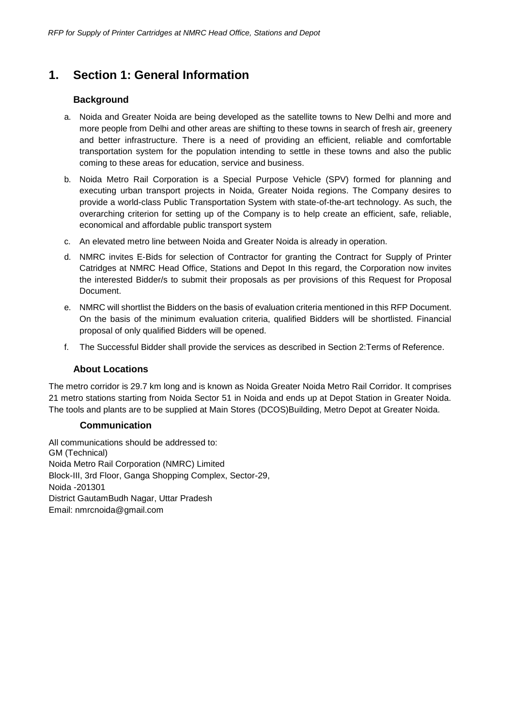### <span id="page-5-1"></span><span id="page-5-0"></span>**1. Section 1: General Information**

#### **Background**

- a. Noida and Greater Noida are being developed as the satellite towns to New Delhi and more and more people from Delhi and other areas are shifting to these towns in search of fresh air, greenery and better infrastructure. There is a need of providing an efficient, reliable and comfortable transportation system for the population intending to settle in these towns and also the public coming to these areas for education, service and business.
- b. Noida Metro Rail Corporation is a Special Purpose Vehicle (SPV) formed for planning and executing urban transport projects in Noida, Greater Noida regions. The Company desires to provide a world-class Public Transportation System with state-of-the-art technology. As such, the overarching criterion for setting up of the Company is to help create an efficient, safe, reliable, economical and affordable public transport system
- c. An elevated metro line between Noida and Greater Noida is already in operation.
- d. NMRC invites E-Bids for selection of Contractor for granting the Contract for Supply of Printer Catridges at NMRC Head Office, Stations and Depot In this regard, the Corporation now invites the interested Bidder/s to submit their proposals as per provisions of this Request for Proposal Document.
- e. NMRC will shortlist the Bidders on the basis of evaluation criteria mentioned in this RFP Document. On the basis of the minimum evaluation criteria, qualified Bidders will be shortlisted. Financial proposal of only qualified Bidders will be opened.
- f. The Successful Bidder shall provide the services as described in Section 2:Terms of Reference.

#### **About Locations**

<span id="page-5-2"></span>The metro corridor is 29.7 km long and is known as Noida Greater Noida Metro Rail Corridor. It comprises 21 metro stations starting from Noida Sector 51 in Noida and ends up at Depot Station in Greater Noida. The tools and plants are to be supplied at Main Stores (DCOS)Building, Metro Depot at Greater Noida.

#### **Communication**

All communications should be addressed to: GM (Technical) Noida Metro Rail Corporation (NMRC) Limited Block-III, 3rd Floor, Ganga Shopping Complex, Sector-29, Noida -201301 District GautamBudh Nagar, Uttar Pradesh Email: [nmrcnoida@gmail.com](mailto:nmrcnoida@gmail.com)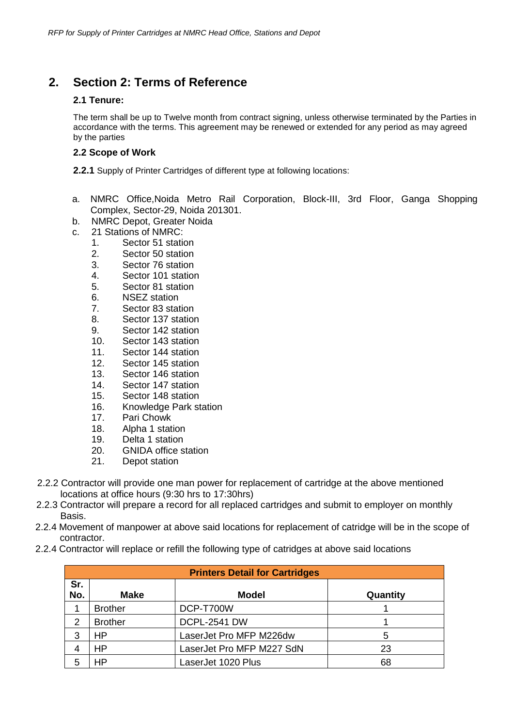### <span id="page-6-1"></span><span id="page-6-0"></span>**2. Section 2: Terms of Reference**

#### **2.1 Tenure:**

The term shall be up to Twelve month from contract signing, unless otherwise terminated by the Parties in accordance with the terms. This agreement may be renewed or extended for any period as may agreed by the parties

#### **2.2 Scope of Work**

**2.2.1** Supply of Printer Cartridges of different type at following locations:

- a. NMRC Office,Noida Metro Rail Corporation, Block-III, 3rd Floor, Ganga Shopping Complex, Sector-29, Noida 201301.
- b. NMRC Depot, Greater Noida
- c. 21 Stations of NMRC:
	- 1. Sector 51 station
	- 2. Sector 50 station
	- 3. Sector 76 station
	- 4. Sector 101 station
	- 5. Sector 81 station
	- 6. NSEZ station
	- 7. Sector 83 station
	- 8. Sector 137 station
	- 9. Sector 142 station
	- 10. Sector 143 station
	- 11. Sector 144 station
	- 12. Sector 145 station
	- 13. Sector 146 station
	- 14. Sector 147 station
	- 15. Sector 148 station
	- 16. Knowledge Park station
	- 17. Pari Chowk
	- 18. Alpha 1 station
	- 19. Delta 1 station
	- 20. GNIDA office station
	- 21. Depot station
- 2.2.2 Contractor will provide one man power for replacement of cartridge at the above mentioned locations at office hours (9:30 hrs to 17:30hrs)
- 2.2.3 Contractor will prepare a record for all replaced cartridges and submit to employer on monthly Basis.
- 2.2.4 Movement of manpower at above said locations for replacement of catridge will be in the scope of contractor.
- 2.2.4 Contractor will replace or refill the following type of catridges at above said locations

|            | <b>Printers Detail for Cartridges</b> |                           |          |  |  |  |  |
|------------|---------------------------------------|---------------------------|----------|--|--|--|--|
| Sr.<br>No. | <b>Make</b>                           | <b>Model</b>              | Quantity |  |  |  |  |
|            | <b>Brother</b>                        | DCP-T700W                 |          |  |  |  |  |
| 2          | <b>Brother</b>                        | <b>DCPL-2541 DW</b>       |          |  |  |  |  |
| 3          | HP                                    | LaserJet Pro MFP M226dw   | 5        |  |  |  |  |
| 4          | <b>HP</b>                             | LaserJet Pro MFP M227 SdN | 23       |  |  |  |  |
| 5          | HP                                    | LaserJet 1020 Plus        | 68       |  |  |  |  |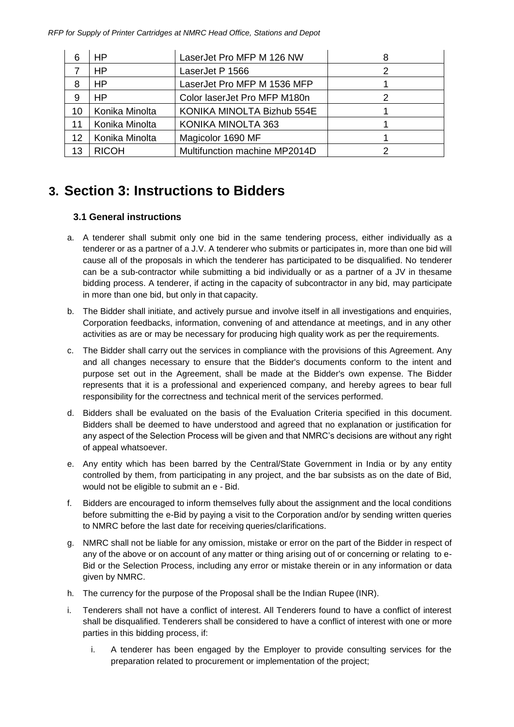*RFP for Supply of Printer Cartridges at NMRC Head Office, Stations and Depot*

| 6  | HP             | LaserJet Pro MFP M 126 NW     |  |
|----|----------------|-------------------------------|--|
|    | HP             | LaserJet P 1566               |  |
| 8  | HP             | LaserJet Pro MFP M 1536 MFP   |  |
| 9  | HP             | Color laserJet Pro MFP M180n  |  |
| 10 | Konika Minolta | KONIKA MINOLTA Bizhub 554E    |  |
| 11 | Konika Minolta | KONIKA MINOLTA 363            |  |
| 12 | Konika Minolta | Magicolor 1690 MF             |  |
| 13 | <b>RICOH</b>   | Multifunction machine MP2014D |  |

# <span id="page-7-1"></span><span id="page-7-0"></span>**3. Section 3: Instructions to Bidders**

#### **3.1 General instructions**

- a. A tenderer shall submit only one bid in the same tendering process, either individually as a tenderer or as a partner of a J.V. A tenderer who submits or participates in, more than one bid will cause all of the proposals in which the tenderer has participated to be disqualified. No tenderer can be a sub-contractor while submitting a bid individually or as a partner of a JV in thesame bidding process. A tenderer, if acting in the capacity of subcontractor in any bid, may participate in more than one bid, but only in that capacity.
- b. The Bidder shall initiate, and actively pursue and involve itself in all investigations and enquiries, Corporation feedbacks, information, convening of and attendance at meetings, and in any other activities as are or may be necessary for producing high quality work as per the requirements.
- c. The Bidder shall carry out the services in compliance with the provisions of this Agreement. Any and all changes necessary to ensure that the Bidder's documents conform to the intent and purpose set out in the Agreement, shall be made at the Bidder's own expense. The Bidder represents that it is a professional and experienced company, and hereby agrees to bear full responsibility for the correctness and technical merit of the services performed.
- d. Bidders shall be evaluated on the basis of the Evaluation Criteria specified in this document. Bidders shall be deemed to have understood and agreed that no explanation or justification for any aspect of the Selection Process will be given and that NMRC's decisions are without any right of appeal whatsoever.
- e. Any entity which has been barred by the Central/State Government in India or by any entity controlled by them, from participating in any project, and the bar subsists as on the date of Bid, would not be eligible to submit an e - Bid.
- f. Bidders are encouraged to inform themselves fully about the assignment and the local conditions before submitting the e-Bid by paying a visit to the Corporation and/or by sending written queries to NMRC before the last date for receiving queries/clarifications.
- g. NMRC shall not be liable for any omission, mistake or error on the part of the Bidder in respect of any of the above or on account of any matter or thing arising out of or concerning or relating to e-Bid or the Selection Process, including any error or mistake therein or in any information or data given by NMRC.
- h. The currency for the purpose of the Proposal shall be the Indian Rupee (INR).
- i. Tenderers shall not have a conflict of interest. All Tenderers found to have a conflict of interest shall be disqualified. Tenderers shall be considered to have a conflict of interest with one or more parties in this bidding process, if:
	- i. A tenderer has been engaged by the Employer to provide consulting services for the preparation related to procurement or implementation of the project;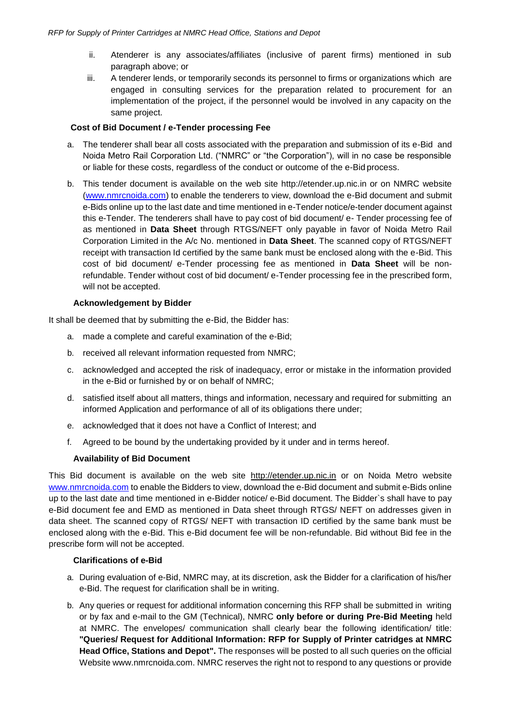- ii. Atenderer is any associates/affiliates (inclusive of parent firms) mentioned in sub paragraph above; or
- iii. A tenderer lends, or temporarily seconds its personnel to firms or organizations which are engaged in consulting services for the preparation related to procurement for an implementation of the project, if the personnel would be involved in any capacity on the same project.

#### **Cost of Bid Document / e-Tender processing Fee**

- a. The tenderer shall bear all costs associated with the preparation and submission of its e-Bid and Noida Metro Rail Corporation Ltd. ("NMRC" or "the Corporation"), will in no case be responsible or liable for these costs, regardless of the conduct or outcome of the e-Bid process.
- b. This tender document is available on the web site [http://etender.up.nic.in o](http://etender.up.nic.in/)r on NMRC website (www.nmrcnoida.com) to enable the tenderers to view, download the e-Bid document and submit e-Bids online up to the last date and time mentioned in e-Tender notice/e-tender document against this e-Tender. The tenderers shall have to pay cost of bid document/ e- Tender processing fee of as mentioned in **Data Sheet** through RTGS/NEFT only payable in favor of Noida Metro Rail Corporation Limited in the A/c No. mentioned in **Data Sheet**. The scanned copy of RTGS/NEFT receipt with transaction Id certified by the same bank must be enclosed along with the e-Bid. This cost of bid document/ e-Tender processing fee as mentioned in **Data Sheet** will be nonrefundable. Tender without cost of bid document/ e-Tender processing fee in the prescribed form, will not be accepted.

#### **Acknowledgement by Bidder**

It shall be deemed that by submitting the e-Bid, the Bidder has:

- a. made a complete and careful examination of the e-Bid;
- b. received all relevant information requested from NMRC;
- c. acknowledged and accepted the risk of inadequacy, error or mistake in the information provided in the e-Bid or furnished by or on behalf of NMRC;
- d. satisfied itself about all matters, things and information, necessary and required for submitting an informed Application and performance of all of its obligations there under;
- e. acknowledged that it does not have a Conflict of Interest; and
- f. Agreed to be bound by the undertaking provided by it under and in terms hereof.

#### **Availability of Bid Document**

This Bid document is available on the web site [http://etender.up.nic.in](http://etender.up.nic.in/) or on Noida Metro website [www.nmrcnoida.com](http://www.nmrcnoida.com/) to enable the Bidders to view, download the e-Bid document and submit e-Bids online up to the last date and time mentioned in e-Bidder notice/ e-Bid document. The Bidder`s shall have to pay e-Bid document fee and EMD as mentioned in Data sheet through RTGS/ NEFT on addresses given in data sheet. The scanned copy of RTGS/ NEFT with transaction ID certified by the same bank must be enclosed along with the e-Bid. This e-Bid document fee will be non-refundable. Bid without Bid fee in the prescribe form will not be accepted.

#### **Clarifications of e-Bid**

- a. During evaluation of e-Bid, NMRC may, at its discretion, ask the Bidder for a clarification of his/her e-Bid. The request for clarification shall be in writing.
- b. Any queries or request for additional information concerning this RFP shall be submitted in writing or by fax and e-mail to the GM (Technical), NMRC **only before or during Pre-Bid Meeting** held at NMRC. The envelopes/ communication shall clearly bear the following identification/ title: **"Queries/ Request for Additional Information: RFP for Supply of Printer catridges at NMRC Head Office, Stations and Depot".** The responses will be posted to all such queries on the official Websit[e www.nmrcnoida.com. N](http://www.nmrcnoida.com/)MRC reserves the right not to respond to any questions or provide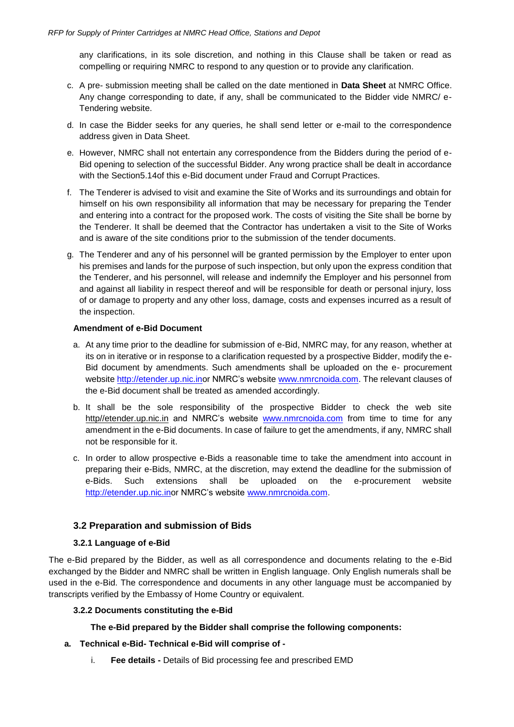any clarifications, in its sole discretion, and nothing in this Clause shall be taken or read as compelling or requiring NMRC to respond to any question or to provide any clarification.

- c. A pre- submission meeting shall be called on the date mentioned in **Data Sheet** at NMRC Office. Any change corresponding to date, if any, shall be communicated to the Bidder vide NMRC/ e-Tendering website.
- d. In case the Bidder seeks for any queries, he shall send letter or e-mail to the correspondence address given in Data Sheet.
- e. However, NMRC shall not entertain any correspondence from the Bidders during the period of e-Bid opening to selection of the successful Bidder. Any wrong practice shall be dealt in accordance with the Section5.14of this e-Bid document under Fraud and Corrupt Practices.
- f. The Tenderer is advised to visit and examine the Site of Works and its surroundings and obtain for himself on his own responsibility all information that may be necessary for preparing the Tender and entering into a contract for the proposed work. The costs of visiting the Site shall be borne by the Tenderer. It shall be deemed that the Contractor has undertaken a visit to the Site of Works and is aware of the site conditions prior to the submission of the tender documents.
- g. The Tenderer and any of his personnel will be granted permission by the Employer to enter upon his premises and lands for the purpose of such inspection, but only upon the express condition that the Tenderer, and his personnel, will release and indemnify the Employer and his personnel from and against all liability in respect thereof and will be responsible for death or personal injury, loss of or damage to property and any other loss, damage, costs and expenses incurred as a result of the inspection.

#### **Amendment of e-Bid Document**

- a. At any time prior to the deadline for submission of e-Bid, NMRC may, for any reason, whether at its on in iterative or in response to a clarification requested by a prospective Bidder, modify the e-Bid document by amendments. Such amendments shall be uploaded on the e- procurement website [http://etender.up.nic.inor](http://etender.up.nic.inor/) NMRC's website [www.nmrcnoida.com.](http://www.nmrcnoida.com/) The relevant clauses of the e-Bid document shall be treated as amended accordingly.
- b. It shall be the sole responsibility of the prospective Bidder to check the web site http//etender.up.nic.in and NMRC's website [www.nmrcnoida.com](http://www.nmrcnoida.com/) from time to time for any amendment in the e-Bid documents. In case of failure to get the amendments, if any, NMRC shall not be responsible for it.
- c. In order to allow prospective e-Bids a reasonable time to take the amendment into account in preparing their e-Bids, NMRC, at the discretion, may extend the deadline for the submission of e-Bids. Such extensions shall be uploaded on the e-procurement websit[e](http://etender.up.nic.inor/) [http://etender.up.nic.inor N](http://etender.up.nic.inor/)MRC's website [www.nmrcnoida.com.](http://www.nmrcnoida.com/)

#### **3.2 Preparation and submission of Bids**

#### **3.2.1 Language of e-Bid**

<span id="page-9-0"></span>The e-Bid prepared by the Bidder, as well as all correspondence and documents relating to the e-Bid exchanged by the Bidder and NMRC shall be written in English language. Only English numerals shall be used in the e-Bid. The correspondence and documents in any other language must be accompanied by transcripts verified by the Embassy of Home Country or equivalent.

#### **3.2.2 Documents constituting the e-Bid**

#### **The e-Bid prepared by the Bidder shall comprise the following components:**

#### **a. Technical e-Bid- Technical e-Bid will comprise of -**

i. **Fee details -** Details of Bid processing fee and prescribed EMD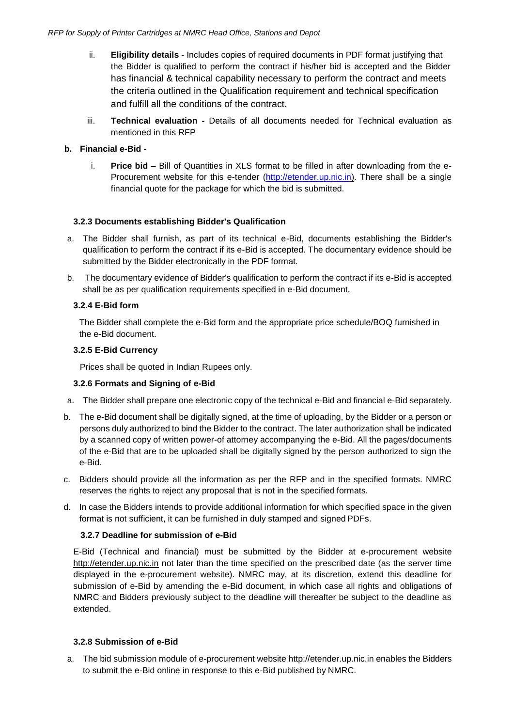- ii. **Eligibility details -** Includes copies of required documents in PDF format justifying that the Bidder is qualified to perform the contract if his/her bid is accepted and the Bidder has financial & technical capability necessary to perform the contract and meets the criteria outlined in the Qualification requirement and technical specification and fulfill all the conditions of the contract.
- iii. **Technical evaluation -** Details of all documents needed for Technical evaluation as mentioned in this RFP

#### **b. Financial e-Bid -**

i. **Price bid –** Bill of Quantities in XLS format to be filled in after downloading from the e-Procurement website for this e-tender (http://etender.up.nic.in). There shall be a single financial quote for the package for which the bid is submitted.

#### **3.2.3 Documents establishing Bidder's Qualification**

- a. The Bidder shall furnish, as part of its technical e-Bid, documents establishing the Bidder's qualification to perform the contract if its e-Bid is accepted. The documentary evidence should be submitted by the Bidder electronically in the PDF format.
- b. The documentary evidence of Bidder's qualification to perform the contract if its e-Bid is accepted shall be as per qualification requirements specified in e-Bid document.

#### **3.2.4 E-Bid form**

The Bidder shall complete the e-Bid form and the appropriate price schedule/BOQ furnished in the e-Bid document.

#### **3.2.5 E-Bid Currency**

Prices shall be quoted in Indian Rupees only.

#### **3.2.6 Formats and Signing of e-Bid**

- a. The Bidder shall prepare one electronic copy of the technical e-Bid and financial e-Bid separately.
- b. The e-Bid document shall be digitally signed, at the time of uploading, by the Bidder or a person or persons duly authorized to bind the Bidder to the contract. The later authorization shall be indicated by a scanned copy of written power-of attorney accompanying the e-Bid. All the pages/documents of the e-Bid that are to be uploaded shall be digitally signed by the person authorized to sign the e-Bid.
- c. Bidders should provide all the information as per the RFP and in the specified formats. NMRC reserves the rights to reject any proposal that is not in the specified formats.
- d. In case the Bidders intends to provide additional information for which specified space in the given format is not sufficient, it can be furnished in duly stamped and signed PDFs.

#### **3.2.7 Deadline for submission of e-Bid**

E-Bid (Technical and financial) must be submitted by the Bidder at e-procurement websit[e](http://etender.up.nic.in/) [http://etender.up.nic.in](http://etender.up.nic.in/) not later than the time specified on the prescribed date (as the server time displayed in the e-procurement website). NMRC may, at its discretion, extend this deadline for submission of e-Bid by amending the e-Bid document, in which case all rights and obligations of NMRC and Bidders previously subject to the deadline will thereafter be subject to the deadline as extended.

#### **3.2.8 Submission of e-Bid**

a. The bid submission module of e-procurement website [http://etender.up.nic.in](http://etender.up.nic.in/) enables the Bidders to submit the e-Bid online in response to this e-Bid published by NMRC.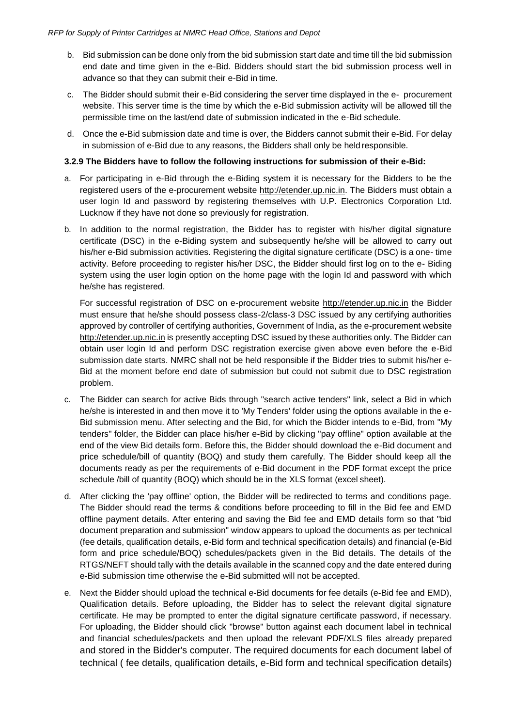- b. Bid submission can be done only from the bid submission start date and time till the bid submission end date and time given in the e-Bid. Bidders should start the bid submission process well in advance so that they can submit their e-Bid in time.
- c. The Bidder should submit their e-Bid considering the server time displayed in the e- procurement website. This server time is the time by which the e-Bid submission activity will be allowed till the permissible time on the last/end date of submission indicated in the e-Bid schedule.
- d. Once the e-Bid submission date and time is over, the Bidders cannot submit their e-Bid. For delay in submission of e-Bid due to any reasons, the Bidders shall only be held responsible.

#### **3.2.9 The Bidders have to follow the following instructions for submission of their e-Bid:**

- a. For participating in e-Bid through the e-Biding system it is necessary for the Bidders to be the registered users of the e-procurement website [http://etender.up.nic.in. T](http://etender.up.nic.in/)he Bidders must obtain a user login Id and password by registering themselves with U.P. Electronics Corporation Ltd. Lucknow if they have not done so previously for registration.
- b. In addition to the normal registration, the Bidder has to register with his/her digital signature certificate (DSC) in the e-Biding system and subsequently he/she will be allowed to carry out his/her e-Bid submission activities. Registering the digital signature certificate (DSC) is a one- time activity. Before proceeding to register his/her DSC, the Bidder should first log on to the e- Biding system using the user login option on the home page with the login Id and password with which he/she has registered.

For successful registration of DSC on e-procurement website [http://etender.up.nic.in](http://etender.up.nic.in/) the Bidder must ensure that he/she should possess class-2/class-3 DSC issued by any certifying authorities approved by controller of certifying authorities, Government of India, as the e-procurement website [http://etender.up.nic.in](http://etender.up.nic.in/) is presently accepting DSC issued by these authorities only. The Bidder can obtain user login Id and perform DSC registration exercise given above even before the e-Bid submission date starts. NMRC shall not be held responsible if the Bidder tries to submit his/her e-Bid at the moment before end date of submission but could not submit due to DSC registration problem.

- c. The Bidder can search for active Bids through "search active tenders" link, select a Bid in which he/she is interested in and then move it to 'My Tenders' folder using the options available in the e-Bid submission menu. After selecting and the Bid, for which the Bidder intends to e-Bid, from "My tenders" folder, the Bidder can place his/her e-Bid by clicking "pay offline" option available at the end of the view Bid details form. Before this, the Bidder should download the e-Bid document and price schedule/bill of quantity (BOQ) and study them carefully. The Bidder should keep all the documents ready as per the requirements of e-Bid document in the PDF format except the price schedule /bill of quantity (BOQ) which should be in the XLS format (excel sheet).
- d. After clicking the 'pay offline' option, the Bidder will be redirected to terms and conditions page. The Bidder should read the terms & conditions before proceeding to fill in the Bid fee and EMD offline payment details. After entering and saving the Bid fee and EMD details form so that "bid document preparation and submission" window appears to upload the documents as per technical (fee details, qualification details, e-Bid form and technical specification details) and financial (e-Bid form and price schedule/BOQ) schedules/packets given in the Bid details. The details of the RTGS/NEFT should tally with the details available in the scanned copy and the date entered during e-Bid submission time otherwise the e-Bid submitted will not be accepted.
- e. Next the Bidder should upload the technical e-Bid documents for fee details (e-Bid fee and EMD), Qualification details. Before uploading, the Bidder has to select the relevant digital signature certificate. He may be prompted to enter the digital signature certificate password, if necessary. For uploading, the Bidder should click "browse" button against each document label in technical and financial schedules/packets and then upload the relevant PDF/XLS files already prepared and stored in the Bidder's computer. The required documents for each document label of technical ( fee details, qualification details, e-Bid form and technical specification details)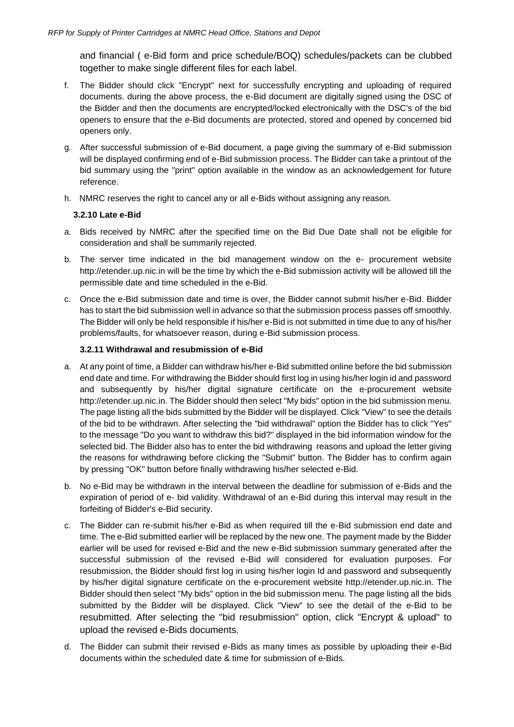and financial ( e-Bid form and price schedule/BOQ) schedules/packets can be clubbed together to make single different files for each label.

- f. The Bidder should click "Encrypt" next for successfully encrypting and uploading of required documents. during the above process, the e-Bid document are digitally signed using the DSC of the Bidder and then the documents are encrypted/locked electronically with the DSC's of the bid openers to ensure that the e-Bid documents are protected, stored and opened by concerned bid openers only.
- g. After successful submission of e-Bid document, a page giving the summary of e-Bid submission will be displayed confirming end of e-Bid submission process. The Bidder can take a printout of the bid summary using the "print" option available in the window as an acknowledgement for future reference.
- h. NMRC reserves the right to cancel any or all e-Bids without assigning any reason.

#### **3.2.10 Late e-Bid**

- a. Bids received by NMRC after the specified time on the Bid Due Date shall not be eligible for consideration and shall be summarily rejected.
- b. The server time indicated in the bid management window on the e- procurement websit[e](http://etender.up.nic.in/) [http://etender.up.nic.in w](http://etender.up.nic.in/)ill be the time by which the e-Bid submission activity will be allowed till the permissible date and time scheduled in the e-Bid.
- c. Once the e-Bid submission date and time is over, the Bidder cannot submit his/her e-Bid. Bidder has to start the bid submission well in advance so that the submission process passes off smoothly. The Bidder will only be held responsible if his/her e-Bid is not submitted in time due to any of his/her problems/faults, for whatsoever reason, during e-Bid submission process.

#### **3.2.11 Withdrawal and resubmission of e-Bid**

- a. At any point of time, a Bidder can withdraw his/her e-Bid submitted online before the bid submission end date and time. For withdrawing the Bidder should first log in using his/her login id and password and subsequently by his/her digital signature certificate on the e-procurement website [http://etender.up.nic.in.](http://etender.up.nic.in/) The Bidder should then select "My bids" option in the bid submission menu. The page listing all the bids submitted by the Bidder will be displayed. Click "View" to see the details of the bid to be withdrawn. After selecting the "bid withdrawal" option the Bidder has to click "Yes" to the message "Do you want to withdraw this bid?" displayed in the bid information window for the selected bid. The Bidder also has to enter the bid withdrawing reasons and upload the letter giving the reasons for withdrawing before clicking the "Submit" button. The Bidder has to confirm again by pressing "OK" button before finally withdrawing his/her selected e-Bid.
- b. No e-Bid may be withdrawn in the interval between the deadline for submission of e-Bids and the expiration of period of e- bid validity. Withdrawal of an e-Bid during this interval may result in the forfeiting of Bidder's e-Bid security.
- c. The Bidder can re-submit his/her e-Bid as when required till the e-Bid submission end date and time. The e-Bid submitted earlier will be replaced by the new one. The payment made by the Bidder earlier will be used for revised e-Bid and the new e-Bid submission summary generated after the successful submission of the revised e-Bid will considered for evaluation purposes. For resubmission, the Bidder should first log in using his/her login Id and password and subsequently by his/her digital signature certificate on the e-procurement website [http://etender.up.nic.in. T](http://etender.up.nic.in/)he Bidder should then select "My bids" option in the bid submission menu. The page listing all the bids submitted by the Bidder will be displayed. Click "View" to see the detail of the e-Bid to be resubmitted. After selecting the "bid resubmission" option, click "Encrypt & upload" to upload the revised e-Bids documents.
- d. The Bidder can submit their revised e-Bids as many times as possible by uploading their e-Bid documents within the scheduled date & time for submission of e-Bids.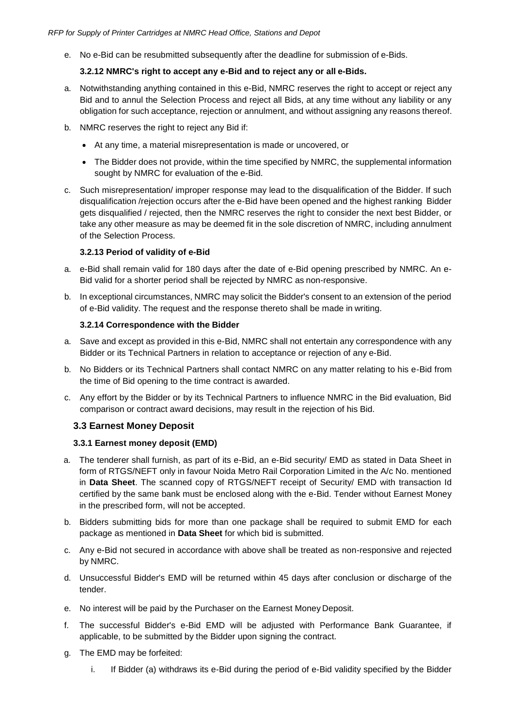e. No e-Bid can be resubmitted subsequently after the deadline for submission of e-Bids.

#### **3.2.12 NMRC's right to accept any e-Bid and to reject any or all e-Bids.**

- a. Notwithstanding anything contained in this e-Bid, NMRC reserves the right to accept or reject any Bid and to annul the Selection Process and reject all Bids, at any time without any liability or any obligation for such acceptance, rejection or annulment, and without assigning any reasons thereof.
- b. NMRC reserves the right to reject any Bid if:
	- At any time, a material misrepresentation is made or uncovered, or
	- The Bidder does not provide, within the time specified by NMRC, the supplemental information sought by NMRC for evaluation of the e-Bid.
- c. Such misrepresentation/ improper response may lead to the disqualification of the Bidder. If such disqualification /rejection occurs after the e-Bid have been opened and the highest ranking Bidder gets disqualified / rejected, then the NMRC reserves the right to consider the next best Bidder, or take any other measure as may be deemed fit in the sole discretion of NMRC, including annulment of the Selection Process.

#### **3.2.13 Period of validity of e-Bid**

- a. e-Bid shall remain valid for 180 days after the date of e-Bid opening prescribed by NMRC. An e-Bid valid for a shorter period shall be rejected by NMRC as non-responsive.
- b. In exceptional circumstances, NMRC may solicit the Bidder's consent to an extension of the period of e-Bid validity. The request and the response thereto shall be made in writing.

#### **3.2.14 Correspondence with the Bidder**

- a. Save and except as provided in this e-Bid, NMRC shall not entertain any correspondence with any Bidder or its Technical Partners in relation to acceptance or rejection of any e-Bid.
- b. No Bidders or its Technical Partners shall contact NMRC on any matter relating to his e-Bid from the time of Bid opening to the time contract is awarded.
- <span id="page-13-0"></span>c. Any effort by the Bidder or by its Technical Partners to influence NMRC in the Bid evaluation, Bid comparison or contract award decisions, may result in the rejection of his Bid.

#### **3.3 Earnest Money Deposit**

#### **3.3.1 Earnest money deposit (EMD)**

- a. The tenderer shall furnish, as part of its e-Bid, an e-Bid security/ EMD as stated in Data Sheet in form of RTGS/NEFT only in favour Noida Metro Rail Corporation Limited in the A/c No. mentioned in **Data Sheet**. The scanned copy of RTGS/NEFT receipt of Security/ EMD with transaction Id certified by the same bank must be enclosed along with the e-Bid. Tender without Earnest Money in the prescribed form, will not be accepted.
- b. Bidders submitting bids for more than one package shall be required to submit EMD for each package as mentioned in **Data Sheet** for which bid is submitted.
- c. Any e-Bid not secured in accordance with above shall be treated as non-responsive and rejected by NMRC.
- d. Unsuccessful Bidder's EMD will be returned within 45 days after conclusion or discharge of the tender.
- e. No interest will be paid by the Purchaser on the Earnest Money Deposit.
- f. The successful Bidder's e-Bid EMD will be adjusted with Performance Bank Guarantee, if applicable, to be submitted by the Bidder upon signing the contract.
- g. The EMD may be forfeited:
	- i. If Bidder (a) withdraws its e-Bid during the period of e-Bid validity specified by the Bidder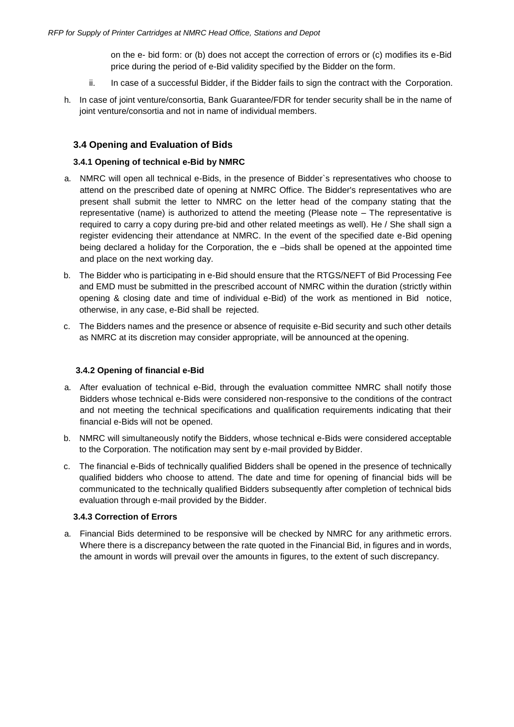on the e- bid form: or (b) does not accept the correction of errors or (c) modifies its e-Bid price during the period of e-Bid validity specified by the Bidder on the form.

- ii. In case of a successful Bidder, if the Bidder fails to sign the contract with the Corporation.
- h. In case of joint venture/consortia, Bank Guarantee/FDR for tender security shall be in the name of joint venture/consortia and not in name of individual members.

#### <span id="page-14-0"></span>**3.4 Opening and Evaluation of Bids**

#### **3.4.1 Opening of technical e-Bid by NMRC**

- a. NMRC will open all technical e-Bids, in the presence of Bidder`s representatives who choose to attend on the prescribed date of opening at NMRC Office. The Bidder's representatives who are present shall submit the letter to NMRC on the letter head of the company stating that the representative (name) is authorized to attend the meeting (Please note – The representative is required to carry a copy during pre-bid and other related meetings as well). He / She shall sign a register evidencing their attendance at NMRC. In the event of the specified date e-Bid opening being declared a holiday for the Corporation, the e –bids shall be opened at the appointed time and place on the next working day.
- b. The Bidder who is participating in e-Bid should ensure that the RTGS/NEFT of Bid Processing Fee and EMD must be submitted in the prescribed account of NMRC within the duration (strictly within opening & closing date and time of individual e-Bid) of the work as mentioned in Bid notice, otherwise, in any case, e-Bid shall be rejected.
- c. The Bidders names and the presence or absence of requisite e-Bid security and such other details as NMRC at its discretion may consider appropriate, will be announced at the opening.

#### **3.4.2 Opening of financial e-Bid**

- a. After evaluation of technical e-Bid, through the evaluation committee NMRC shall notify those Bidders whose technical e-Bids were considered non-responsive to the conditions of the contract and not meeting the technical specifications and qualification requirements indicating that their financial e-Bids will not be opened.
- b. NMRC will simultaneously notify the Bidders, whose technical e-Bids were considered acceptable to the Corporation. The notification may sent by e-mail provided by Bidder.
- c. The financial e-Bids of technically qualified Bidders shall be opened in the presence of technically qualified bidders who choose to attend. The date and time for opening of financial bids will be communicated to the technically qualified Bidders subsequently after completion of technical bids evaluation through e-mail provided by the Bidder.

#### **3.4.3 Correction of Errors**

a. Financial Bids determined to be responsive will be checked by NMRC for any arithmetic errors. Where there is a discrepancy between the rate quoted in the Financial Bid, in figures and in words, the amount in words will prevail over the amounts in figures, to the extent of such discrepancy.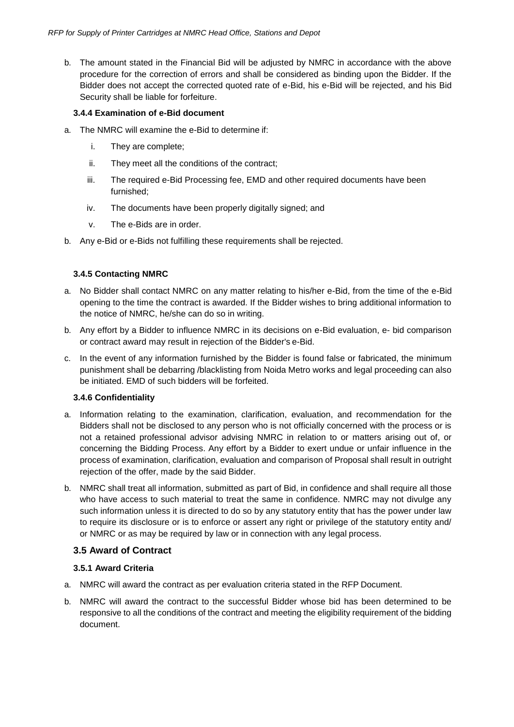b. The amount stated in the Financial Bid will be adjusted by NMRC in accordance with the above procedure for the correction of errors and shall be considered as binding upon the Bidder. If the Bidder does not accept the corrected quoted rate of e-Bid, his e-Bid will be rejected, and his Bid Security shall be liable for forfeiture.

#### **3.4.4 Examination of e-Bid document**

- a. The NMRC will examine the e-Bid to determine if:
	- i. They are complete;
	- ii. They meet all the conditions of the contract;
	- iii. The required e-Bid Processing fee, EMD and other required documents have been furnished;
	- iv. The documents have been properly digitally signed; and
	- v. The e-Bids are in order.
- b. Any e-Bid or e-Bids not fulfilling these requirements shall be rejected.

#### **3.4.5 Contacting NMRC**

- a. No Bidder shall contact NMRC on any matter relating to his/her e-Bid, from the time of the e-Bid opening to the time the contract is awarded. If the Bidder wishes to bring additional information to the notice of NMRC, he/she can do so in writing.
- b. Any effort by a Bidder to influence NMRC in its decisions on e-Bid evaluation, e- bid comparison or contract award may result in rejection of the Bidder's e-Bid.
- c. In the event of any information furnished by the Bidder is found false or fabricated, the minimum punishment shall be debarring /blacklisting from Noida Metro works and legal proceeding can also be initiated. EMD of such bidders will be forfeited.

#### **3.4.6 Confidentiality**

- a. Information relating to the examination, clarification, evaluation, and recommendation for the Bidders shall not be disclosed to any person who is not officially concerned with the process or is not a retained professional advisor advising NMRC in relation to or matters arising out of, or concerning the Bidding Process. Any effort by a Bidder to exert undue or unfair influence in the process of examination, clarification, evaluation and comparison of Proposal shall result in outright rejection of the offer, made by the said Bidder.
- b. NMRC shall treat all information, submitted as part of Bid, in confidence and shall require all those who have access to such material to treat the same in confidence. NMRC may not divulge any such information unless it is directed to do so by any statutory entity that has the power under law to require its disclosure or is to enforce or assert any right or privilege of the statutory entity and/ or NMRC or as may be required by law or in connection with any legal process.

#### <span id="page-15-0"></span>**3.5 Award of Contract**

#### **3.5.1 Award Criteria**

- a. NMRC will award the contract as per evaluation criteria stated in the RFP Document.
- b. NMRC will award the contract to the successful Bidder whose bid has been determined to be responsive to all the conditions of the contract and meeting the eligibility requirement of the bidding document.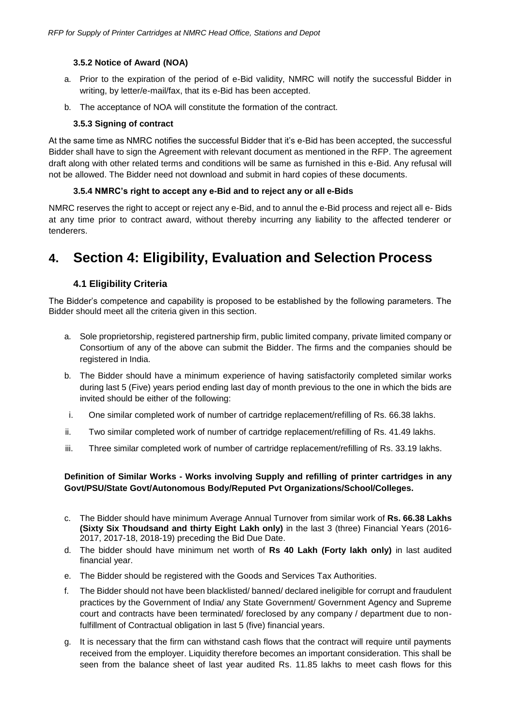#### **3.5.2 Notice of Award (NOA)**

- a. Prior to the expiration of the period of e-Bid validity, NMRC will notify the successful Bidder in writing, by letter/e-mail/fax, that its e-Bid has been accepted.
- b. The acceptance of NOA will constitute the formation of the contract.

#### **3.5.3 Signing of contract**

At the same time as NMRC notifies the successful Bidder that it's e-Bid has been accepted, the successful Bidder shall have to sign the Agreement with relevant document as mentioned in the RFP. The agreement draft along with other related terms and conditions will be same as furnished in this e-Bid. Any refusal will not be allowed. The Bidder need not download and submit in hard copies of these documents.

#### **3.5.4 NMRC's right to accept any e-Bid and to reject any or all e-Bids**

NMRC reserves the right to accept or reject any e-Bid, and to annul the e-Bid process and reject all e- Bids at any time prior to contract award, without thereby incurring any liability to the affected tenderer or tenderers.

# <span id="page-16-1"></span><span id="page-16-0"></span>**4. Section 4: Eligibility, Evaluation and Selection Process**

#### **4.1 Eligibility Criteria**

The Bidder's competence and capability is proposed to be established by the following parameters. The Bidder should meet all the criteria given in this section.

- a. Sole proprietorship, registered partnership firm, public limited company, private limited company or Consortium of any of the above can submit the Bidder. The firms and the companies should be registered in India.
- b. The Bidder should have a minimum experience of having satisfactorily completed similar works during last 5 (Five) years period ending last day of month previous to the one in which the bids are invited should be either of the following:
- i. One similar completed work of number of cartridge replacement/refilling of Rs. 66.38 lakhs.
- ii. Two similar completed work of number of cartridge replacement/refilling of Rs. 41.49 lakhs.
- iii. Three similar completed work of number of cartridge replacement/refilling of Rs. 33.19 lakhs.

#### **Definition of Similar Works - Works involving Supply and refilling of printer cartridges in any Govt/PSU/State Govt/Autonomous Body/Reputed Pvt Organizations/School/Colleges.**

- c. The Bidder should have minimum Average Annual Turnover from similar work of **Rs. 66.38 Lakhs (Sixty Six Thoudsand and thirty Eight Lakh only)** in the last 3 (three) Financial Years (2016- 2017, 2017-18, 2018-19) preceding the Bid Due Date.
- d. The bidder should have minimum net worth of **Rs 40 Lakh (Forty lakh only)** in last audited financial year.
- e. The Bidder should be registered with the Goods and Services Tax Authorities.
- f. The Bidder should not have been blacklisted/ banned/ declared ineligible for corrupt and fraudulent practices by the Government of India/ any State Government/ Government Agency and Supreme court and contracts have been terminated/ foreclosed by any company / department due to nonfulfillment of Contractual obligation in last 5 (five) financial years.
- g. It is necessary that the firm can withstand cash flows that the contract will require until payments received from the employer. Liquidity therefore becomes an important consideration. This shall be seen from the balance sheet of last year audited Rs. 11.85 lakhs to meet cash flows for this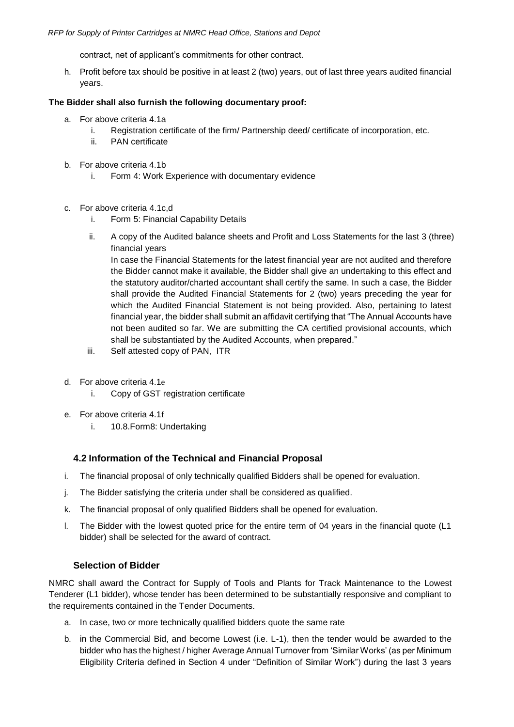contract, net of applicant's commitments for other contract.

h. Profit before tax should be positive in at least 2 (two) years, out of last three years audited financial years.

#### **The Bidder shall also furnish the following documentary proof:**

- a. For above criteria 4.1a
	- i. Registration certificate of the firm/ Partnership deed/ certificate of incorporation, etc.
	- ii. PAN certificate
- b. For above criteria 4.1b
	- i. Form 4: Work Experience with documentary evidence
- c. For above criteria 4.1c,d
	- i. Form 5: Financial Capability Details
	- ii. A copy of the Audited balance sheets and Profit and Loss Statements for the last 3 (three) financial years

In case the Financial Statements for the latest financial year are not audited and therefore the Bidder cannot make it available, the Bidder shall give an undertaking to this effect and the statutory auditor/charted accountant shall certify the same. In such a case, the Bidder shall provide the Audited Financial Statements for 2 (two) years preceding the year for which the Audited Financial Statement is not being provided. Also, pertaining to latest financial year, the bidder shall submit an affidavit certifying that "The Annual Accounts have not been audited so far. We are submitting the CA certified provisional accounts, which shall be substantiated by the Audited Accounts, when prepared."

- iii. Self attested copy of PAN, ITR
- d. For above criteria 4.1e
	- i. Copy of GST registration certificate
- e. For above criteria 4.1f
	- i. 10.8.Form8: Undertaking

#### **4.2 Information of the Technical and Financial Proposal**

- <span id="page-17-0"></span>i. The financial proposal of only technically qualified Bidders shall be opened for evaluation.
- j. The Bidder satisfying the criteria under shall be considered as qualified.
- k. The financial proposal of only qualified Bidders shall be opened for evaluation.
- l. The Bidder with the lowest quoted price for the entire term of 04 years in the financial quote (L1 bidder) shall be selected for the award of contract.

#### **Selection of Bidder**

NMRC shall award the Contract for Supply of Tools and Plants for Track Maintenance to the Lowest Tenderer (L1 bidder), whose tender has been determined to be substantially responsive and compliant to the requirements contained in the Tender Documents.

- a. In case, two or more technically qualified bidders quote the same rate
- b. in the Commercial Bid, and become Lowest (i.e. L-1), then the tender would be awarded to the bidder who has the highest / higher Average Annual Turnover from 'Similar Works' (as per Minimum Eligibility Criteria defined in Section 4 under "Definition of Similar Work") during the last 3 years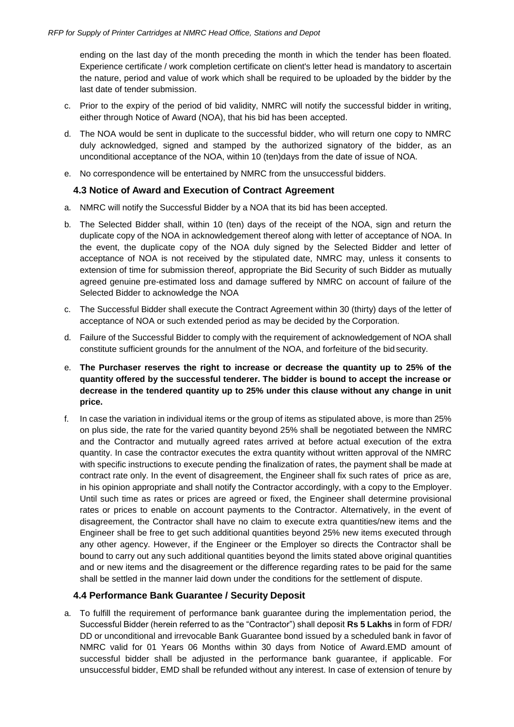ending on the last day of the month preceding the month in which the tender has been floated. Experience certificate / work completion certificate on client's letter head is mandatory to ascertain the nature, period and value of work which shall be required to be uploaded by the bidder by the last date of tender submission.

- c. Prior to the expiry of the period of bid validity, NMRC will notify the successful bidder in writing, either through Notice of Award (NOA), that his bid has been accepted.
- d. The NOA would be sent in duplicate to the successful bidder, who will return one copy to NMRC duly acknowledged, signed and stamped by the authorized signatory of the bidder, as an unconditional acceptance of the NOA, within 10 (ten)days from the date of issue of NOA.
- <span id="page-18-0"></span>e. No correspondence will be entertained by NMRC from the unsuccessful bidders.

#### **4.3 Notice of Award and Execution of Contract Agreement**

- a. NMRC will notify the Successful Bidder by a NOA that its bid has been accepted.
- b. The Selected Bidder shall, within 10 (ten) days of the receipt of the NOA, sign and return the duplicate copy of the NOA in acknowledgement thereof along with letter of acceptance of NOA. In the event, the duplicate copy of the NOA duly signed by the Selected Bidder and letter of acceptance of NOA is not received by the stipulated date, NMRC may, unless it consents to extension of time for submission thereof, appropriate the Bid Security of such Bidder as mutually agreed genuine pre-estimated loss and damage suffered by NMRC on account of failure of the Selected Bidder to acknowledge the NOA
- c. The Successful Bidder shall execute the Contract Agreement within 30 (thirty) days of the letter of acceptance of NOA or such extended period as may be decided by the Corporation.
- d. Failure of the Successful Bidder to comply with the requirement of acknowledgement of NOA shall constitute sufficient grounds for the annulment of the NOA, and forfeiture of the bid security.
- e. **The Purchaser reserves the right to increase or decrease the quantity up to 25% of the quantity offered by the successful tenderer. The bidder is bound to accept the increase or decrease in the tendered quantity up to 25% under this clause without any change in unit price.**
- f. In case the variation in individual items or the group of items as stipulated above, is more than 25% on plus side, the rate for the varied quantity beyond 25% shall be negotiated between the NMRC and the Contractor and mutually agreed rates arrived at before actual execution of the extra quantity. In case the contractor executes the extra quantity without written approval of the NMRC with specific instructions to execute pending the finalization of rates, the payment shall be made at contract rate only. In the event of disagreement, the Engineer shall fix such rates of price as are, in his opinion appropriate and shall notify the Contractor accordingly, with a copy to the Employer. Until such time as rates or prices are agreed or fixed, the Engineer shall determine provisional rates or prices to enable on account payments to the Contractor. Alternatively, in the event of disagreement, the Contractor shall have no claim to execute extra quantities/new items and the Engineer shall be free to get such additional quantities beyond 25% new items executed through any other agency. However, if the Engineer or the Employer so directs the Contractor shall be bound to carry out any such additional quantities beyond the limits stated above original quantities and or new items and the disagreement or the difference regarding rates to be paid for the same shall be settled in the manner laid down under the conditions for the settlement of dispute.

#### **4.4 Performance Bank Guarantee / Security Deposit**

<span id="page-18-1"></span>a. To fulfill the requirement of performance bank guarantee during the implementation period, the Successful Bidder (herein referred to as the "Contractor") shall deposit **Rs 5 Lakhs** in form of FDR/ DD or unconditional and irrevocable Bank Guarantee bond issued by a scheduled bank in favor of NMRC valid for 01 Years 06 Months within 30 days from Notice of Award.EMD amount of successful bidder shall be adjusted in the performance bank guarantee, if applicable. For unsuccessful bidder, EMD shall be refunded without any interest. In case of extension of tenure by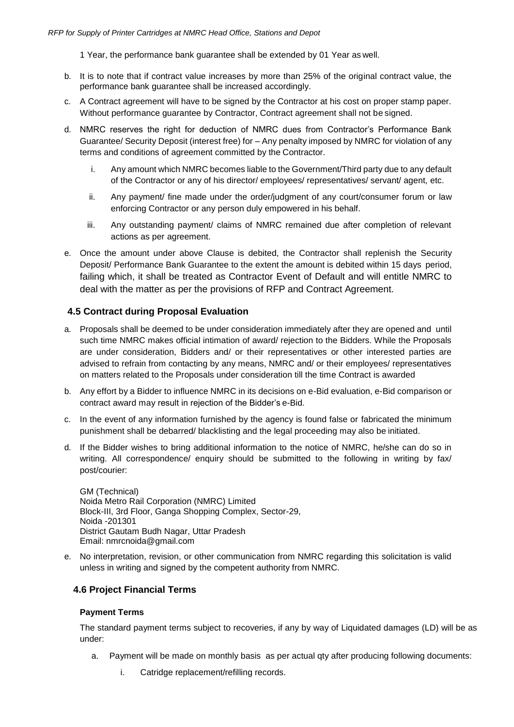1 Year, the performance bank guarantee shall be extended by 01 Year as well.

- b. It is to note that if contract value increases by more than 25% of the original contract value, the performance bank guarantee shall be increased accordingly.
- c. A Contract agreement will have to be signed by the Contractor at his cost on proper stamp paper. Without performance guarantee by Contractor, Contract agreement shall not be signed.
- d. NMRC reserves the right for deduction of NMRC dues from Contractor's Performance Bank Guarantee/ Security Deposit (interest free) for – Any penalty imposed by NMRC for violation of any terms and conditions of agreement committed by the Contractor.
	- i. Any amount which NMRC becomes liable to the Government/Third party due to any default of the Contractor or any of his director/ employees/ representatives/ servant/ agent, etc.
	- ii. Any payment/ fine made under the order/judgment of any court/consumer forum or law enforcing Contractor or any person duly empowered in his behalf.
	- iii. Any outstanding payment/ claims of NMRC remained due after completion of relevant actions as per agreement.
- e. Once the amount under above Clause is debited, the Contractor shall replenish the Security Deposit/ Performance Bank Guarantee to the extent the amount is debited within 15 days period, failing which, it shall be treated as Contractor Event of Default and will entitle NMRC to deal with the matter as per the provisions of RFP and Contract Agreement.

#### <span id="page-19-0"></span>**4.5 Contract during Proposal Evaluation**

- a. Proposals shall be deemed to be under consideration immediately after they are opened and until such time NMRC makes official intimation of award/ rejection to the Bidders. While the Proposals are under consideration, Bidders and/ or their representatives or other interested parties are advised to refrain from contacting by any means, NMRC and/ or their employees/ representatives on matters related to the Proposals under consideration till the time Contract is awarded
- b. Any effort by a Bidder to influence NMRC in its decisions on e-Bid evaluation, e-Bid comparison or contract award may result in rejection of the Bidder's e-Bid.
- c. In the event of any information furnished by the agency is found false or fabricated the minimum punishment shall be debarred/ blacklisting and the legal proceeding may also be initiated.
- d. If the Bidder wishes to bring additional information to the notice of NMRC, he/she can do so in writing. All correspondence/ enquiry should be submitted to the following in writing by fax/ post/courier:

GM (Technical) Noida Metro Rail Corporation (NMRC) Limited Block-III, 3rd Floor, Ganga Shopping Complex, Sector-29, Noida -201301 District Gautam Budh Nagar, Uttar Pradesh Email: [nmrcnoida@gmail.com](mailto:nmrcnoida@gmail.com)

e. No interpretation, revision, or other communication from NMRC regarding this solicitation is valid unless in writing and signed by the competent authority from NMRC.

#### <span id="page-19-1"></span>**4.6 Project Financial Terms**

#### **Payment Terms**

The standard payment terms subject to recoveries, if any by way of Liquidated damages (LD) will be as under:

- a. Payment will be made on monthly basis as per actual qty after producing following documents:
	- i. Catridge replacement/refilling records.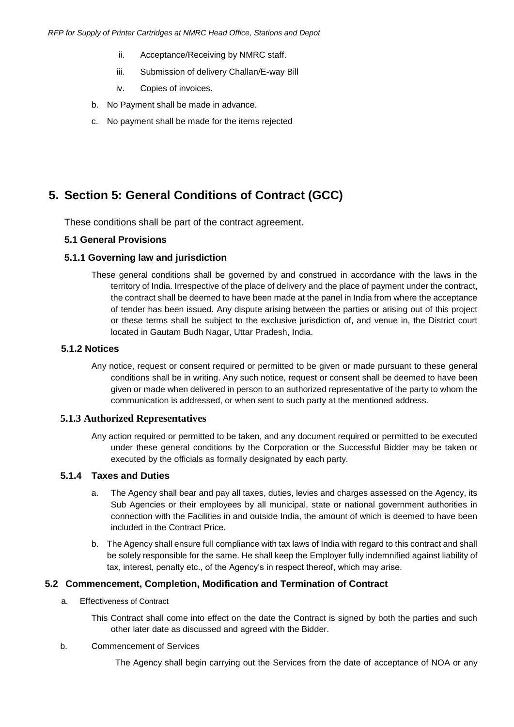- ii. Acceptance/Receiving by NMRC staff.
- iii. Submission of delivery Challan/E-way Bill
- iv. Copies of invoices.
- b. No Payment shall be made in advance.
- c. No payment shall be made for the items rejected

# <span id="page-20-0"></span>**5. Section 5: General Conditions of Contract (GCC)**

These conditions shall be part of the contract agreement.

#### **5.1 General Provisions**

#### **5.1.1 Governing law and jurisdiction**

These general conditions shall be governed by and construed in accordance with the laws in the territory of India. Irrespective of the place of delivery and the place of payment under the contract, the contract shall be deemed to have been made at the panel in India from where the acceptance of tender has been issued. Any dispute arising between the parties or arising out of this project or these terms shall be subject to the exclusive jurisdiction of, and venue in, the District court located in Gautam Budh Nagar, Uttar Pradesh, India.

#### **5.1.2 Notices**

Any notice, request or consent required or permitted to be given or made pursuant to these general conditions shall be in writing. Any such notice, request or consent shall be deemed to have been given or made when delivered in person to an authorized representative of the party to whom the communication is addressed, or when sent to such party at the mentioned address.

#### **5.1.3 Authorized Representatives**

Any action required or permitted to be taken, and any document required or permitted to be executed under these general conditions by the Corporation or the Successful Bidder may be taken or executed by the officials as formally designated by each party.

#### **5.1.4 Taxes and Duties**

- a. The Agency shall bear and pay all taxes, duties, levies and charges assessed on the Agency, its Sub Agencies or their employees by all municipal, state or national government authorities in connection with the Facilities in and outside India, the amount of which is deemed to have been included in the Contract Price.
- b. The Agency shall ensure full compliance with tax laws of India with regard to this contract and shall be solely responsible for the same. He shall keep the Employer fully indemnified against liability of tax, interest, penalty etc., of the Agency's in respect thereof, which may arise.

#### **5.2 Commencement, Completion, Modification and Termination of Contract**

a. Effectiveness of Contract

This Contract shall come into effect on the date the Contract is signed by both the parties and such other later date as discussed and agreed with the Bidder.

#### b. Commencement of Services

The Agency shall begin carrying out the Services from the date of acceptance of NOA or any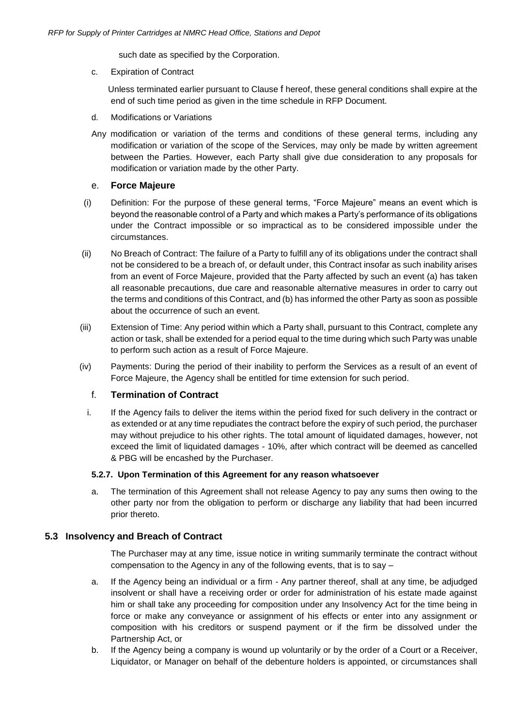such date as specified by the Corporation.

c. Expiration of Contract

 Unless terminated earlier pursuant to Clause [f](#page-21-0) hereof, these general conditions shall expire at the end of such time period as given in the time schedule in RFP Document.

- d. Modifications or Variations
- Any modification or variation of the terms and conditions of these general terms, including any modification or variation of the scope of the Services, may only be made by written agreement between the Parties. However, each Party shall give due consideration to any proposals for modification or variation made by the other Party.

#### e. **Force Majeure**

- (i) Definition: For the purpose of these general terms, "Force Majeure" means an event which is beyond the reasonable control of a Party and which makes a Party's performance of its obligations under the Contract impossible or so impractical as to be considered impossible under the circumstances.
- (ii) No Breach of Contract: The failure of a Party to fulfill any of its obligations under the contract shall not be considered to be a breach of, or default under, this Contract insofar as such inability arises from an event of Force Majeure, provided that the Party affected by such an event (a) has taken all reasonable precautions, due care and reasonable alternative measures in order to carry out the terms and conditions of this Contract, and (b) has informed the other Party as soon as possible about the occurrence of such an event.
- (iii) Extension of Time: Any period within which a Party shall, pursuant to this Contract, complete any action or task, shall be extended for a period equal to the time during which such Party was unable to perform such action as a result of Force Majeure.
- <span id="page-21-0"></span>(iv) Payments: During the period of their inability to perform the Services as a result of an event of Force Majeure, the Agency shall be entitled for time extension for such period.

#### f. **Termination of Contract**

i. If the Agency fails to deliver the items within the period fixed for such delivery in the contract or as extended or at any time repudiates the contract before the expiry of such period, the purchaser may without prejudice to his other rights. The total amount of liquidated damages, however, not exceed the limit of liquidated damages - 10%, after which contract will be deemed as cancelled & PBG will be encashed by the Purchaser.

#### **5.2.7. Upon Termination of this Agreement for any reason whatsoever**

a. The termination of this Agreement shall not release Agency to pay any sums then owing to the other party nor from the obligation to perform or discharge any liability that had been incurred prior thereto.

#### **5.3 Insolvency and Breach of Contract**

The Purchaser may at any time, issue notice in writing summarily terminate the contract without compensation to the Agency in any of the following events, that is to say –

- a. If the Agency being an individual or a firm Any partner thereof, shall at any time, be adjudged insolvent or shall have a receiving order or order for administration of his estate made against him or shall take any proceeding for composition under any Insolvency Act for the time being in force or make any conveyance or assignment of his effects or enter into any assignment or composition with his creditors or suspend payment or if the firm be dissolved under the Partnership Act, or
- b. If the Agency being a company is wound up voluntarily or by the order of a Court or a Receiver, Liquidator, or Manager on behalf of the debenture holders is appointed, or circumstances shall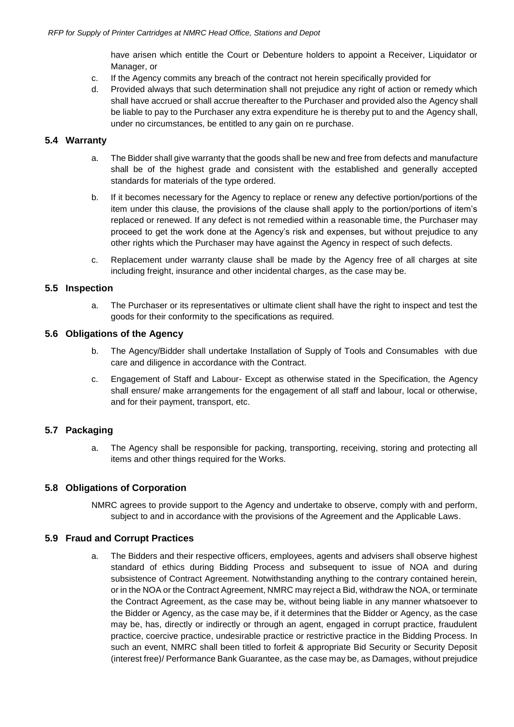have arisen which entitle the Court or Debenture holders to appoint a Receiver, Liquidator or Manager, or

- c. If the Agency commits any breach of the contract not herein specifically provided for
- d. Provided always that such determination shall not prejudice any right of action or remedy which shall have accrued or shall accrue thereafter to the Purchaser and provided also the Agency shall be liable to pay to the Purchaser any extra expenditure he is thereby put to and the Agency shall, under no circumstances, be entitled to any gain on re purchase.

#### **5.4 Warranty**

- a. The Bidder shall give warranty that the goods shall be new and free from defects and manufacture shall be of the highest grade and consistent with the established and generally accepted standards for materials of the type ordered.
- b. If it becomes necessary for the Agency to replace or renew any defective portion/portions of the item under this clause, the provisions of the clause shall apply to the portion/portions of item's replaced or renewed. If any defect is not remedied within a reasonable time, the Purchaser may proceed to get the work done at the Agency's risk and expenses, but without prejudice to any other rights which the Purchaser may have against the Agency in respect of such defects.
- c. Replacement under warranty clause shall be made by the Agency free of all charges at site including freight, insurance and other incidental charges, as the case may be.

#### **5.5 Inspection**

a. The Purchaser or its representatives or ultimate client shall have the right to inspect and test the goods for their conformity to the specifications as required.

#### **5.6 Obligations of the Agency**

- b. The Agency/Bidder shall undertake Installation of Supply of Tools and Consumables with due care and diligence in accordance with the Contract.
- c. Engagement of Staff and Labour- Except as otherwise stated in the Specification, the Agency shall ensure/ make arrangements for the engagement of all staff and labour, local or otherwise, and for their payment, transport, etc.

#### **5.7 Packaging**

a. The Agency shall be responsible for packing, transporting, receiving, storing and protecting all items and other things required for the Works.

#### **5.8 Obligations of Corporation**

NMRC agrees to provide support to the Agency and undertake to observe, comply with and perform, subject to and in accordance with the provisions of the Agreement and the Applicable Laws.

#### <span id="page-22-0"></span>**5.9 Fraud and Corrupt Practices**

a. The Bidders and their respective officers, employees, agents and advisers shall observe highest standard of ethics during Bidding Process and subsequent to issue of NOA and during subsistence of Contract Agreement. Notwithstanding anything to the contrary contained herein, or in the NOA or the Contract Agreement, NMRC may reject a Bid, withdraw the NOA, or terminate the Contract Agreement, as the case may be, without being liable in any manner whatsoever to the Bidder or Agency, as the case may be, if it determines that the Bidder or Agency, as the case may be, has, directly or indirectly or through an agent, engaged in corrupt practice, fraudulent practice, coercive practice, undesirable practice or restrictive practice in the Bidding Process. In such an event, NMRC shall been titled to forfeit & appropriate Bid Security or Security Deposit (interest free)/ Performance Bank Guarantee, as the case may be, as Damages, without prejudice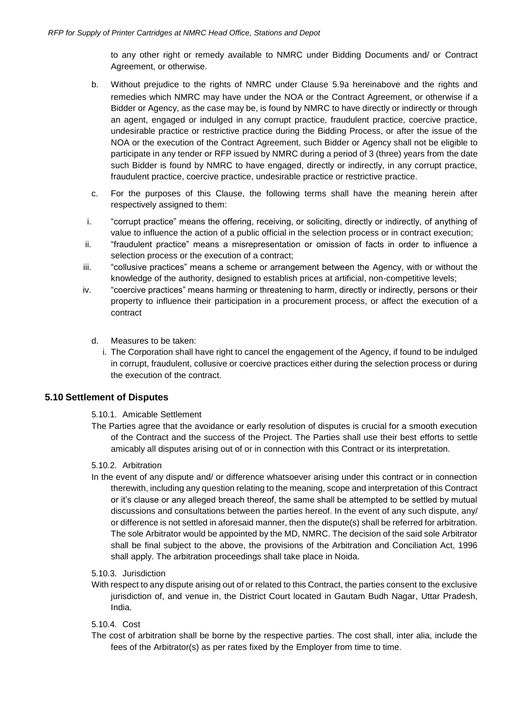to any other right or remedy available to NMRC under Bidding Documents and/ or Contract Agreement, or otherwise.

- b. Without prejudice to the rights of NMRC under Clause [5.9](#page-22-0)[a](#page-22-0) hereinabove and the rights and remedies which NMRC may have under the NOA or the Contract Agreement, or otherwise if a Bidder or Agency, as the case may be, is found by NMRC to have directly or indirectly or through an agent, engaged or indulged in any corrupt practice, fraudulent practice, coercive practice, undesirable practice or restrictive practice during the Bidding Process, or after the issue of the NOA or the execution of the Contract Agreement, such Bidder or Agency shall not be eligible to participate in any tender or RFP issued by NMRC during a period of 3 (three) years from the date such Bidder is found by NMRC to have engaged, directly or indirectly, in any corrupt practice, fraudulent practice, coercive practice, undesirable practice or restrictive practice.
- c. For the purposes of this Clause, the following terms shall have the meaning herein after respectively assigned to them:
- i. "corrupt practice" means the offering, receiving, or soliciting, directly or indirectly, of anything of value to influence the action of a public official in the selection process or in contract execution;
- ii. "fraudulent practice" means a misrepresentation or omission of facts in order to influence a selection process or the execution of a contract;
- iii. "collusive practices" means a scheme or arrangement between the Agency, with or without the knowledge of the authority, designed to establish prices at artificial, non-competitive levels;
- iv. "coercive practices" means harming or threatening to harm, directly or indirectly, persons or their property to influence their participation in a procurement process, or affect the execution of a contract
	- d. Measures to be taken:
		- i. The Corporation shall have right to cancel the engagement of the Agency, if found to be indulged in corrupt, fraudulent, collusive or coercive practices either during the selection process or during the execution of the contract.

#### **5.10 Settlement of Disputes**

#### 5.10.1. Amicable Settlement

- The Parties agree that the avoidance or early resolution of disputes is crucial for a smooth execution of the Contract and the success of the Project. The Parties shall use their best efforts to settle amicably all disputes arising out of or in connection with this Contract or its interpretation.
- 5.10.2. Arbitration
- In the event of any dispute and/ or difference whatsoever arising under this contract or in connection therewith, including any question relating to the meaning, scope and interpretation of this Contract or it's clause or any alleged breach thereof, the same shall be attempted to be settled by mutual discussions and consultations between the parties hereof. In the event of any such dispute, any/ or difference is not settled in aforesaid manner, then the dispute(s) shall be referred for arbitration. The sole Arbitrator would be appointed by the MD, NMRC. The decision of the said sole Arbitrator shall be final subject to the above, the provisions of the Arbitration and Conciliation Act, 1996 shall apply. The arbitration proceedings shall take place in Noida.
- 5.10.3. Jurisdiction
- With respect to any dispute arising out of or related to this Contract, the parties consent to the exclusive jurisdiction of, and venue in, the District Court located in Gautam Budh Nagar, Uttar Pradesh, India.

#### 5.10.4. Cost

The cost of arbitration shall be borne by the respective parties. The cost shall, inter alia, include the fees of the Arbitrator(s) as per rates fixed by the Employer from time to time.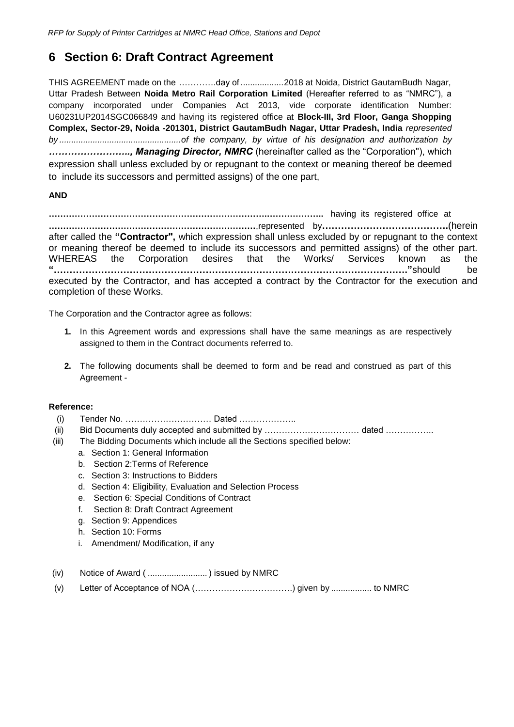### <span id="page-24-0"></span>**6 Section 6: Draft Contract Agreement**

THIS AGREEMENT made on the ………….day of ..................2018 at Noida, District GautamBudh Nagar, Uttar Pradesh Between **Noida Metro Rail Corporation Limited** (Hereafter referred to as "NMRC"), a company incorporated under Companies Act 2013, vide corporate identification Number: U60231UP2014SGC066849 and having its registered office at **Block-III, 3rd Floor, Ganga Shopping Complex, Sector-29, Noida -201301, District GautamBudh Nagar, Uttar Pradesh, India** *represented by ...................................................of the company, by virtue of his designation and authorization by …………………….., Managing Director, NMRC* (hereinafter called as the "Corporation"), which expression shall unless excluded by or repugnant to the context or meaning thereof be deemed to include its successors and permitted assigns) of the one part,

#### **AND**

**………………………………………………………………….………………..** having its registered office at **………………………………………………………………**,represented by**………………………………….**(herein after called the **"Contractor",** which expression shall unless excluded by or repugnant to the context or meaning thereof be deemed to include its successors and permitted assigns) of the other part. WHEREAS the Corporation desires that the Works/ Services known as the **"…………………………………………………………………………………………………."**should be executed by the Contractor, and has accepted a contract by the Contractor for the execution and completion of these Works.

The Corporation and the Contractor agree as follows:

- **1.** In this Agreement words and expressions shall have the same meanings as are respectively assigned to them in the Contract documents referred to.
- **2.** The following documents shall be deemed to form and be read and construed as part of this Agreement -

#### **Reference:**

- (i) Tender No. ………………………… Dated ………………..
- (ii) Bid Documents duly accepted and submitted by …………………………… dated ……………..
- (iii) The Bidding Documents which include all the Sections specified below:
	- a. Section 1: General Information
	- b. Section 2:Terms of Reference
	- c. Section 3: Instructions to Bidders
	- d. Section 4: Eligibility, Evaluation and Selection Process
	- e. Section 6: Special Conditions of Contract
	- f. Section 8: Draft Contract Agreement
	- g. Section 9: Appendices
	- h. Section 10: Forms
	- i. Amendment/ Modification, if any
- (iv) Notice of Award ( ......................... ) issued by NMRC
- (v) Letter of Acceptance of NOA (…………………………….) given by ................. to NMRC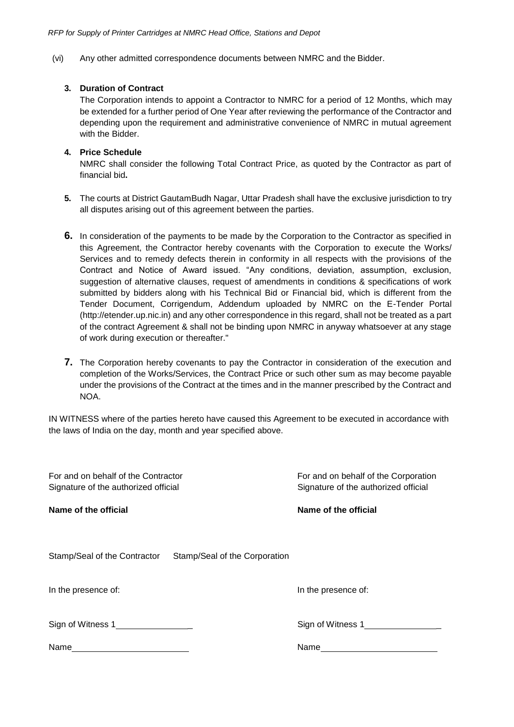(vi) Any other admitted correspondence documents between NMRC and the Bidder.

#### **3. Duration of Contract**

The Corporation intends to appoint a Contractor to NMRC for a period of 12 Months, which may be extended for a further period of One Year after reviewing the performance of the Contractor and depending upon the requirement and administrative convenience of NMRC in mutual agreement with the Bidder.

#### **4. Price Schedule**

NMRC shall consider the following Total Contract Price, as quoted by the Contractor as part of financial bid**.**

- **5.** The courts at District GautamBudh Nagar, Uttar Pradesh shall have the exclusive jurisdiction to try all disputes arising out of this agreement between the parties.
- **6.** In consideration of the payments to be made by the Corporation to the Contractor as specified in this Agreement, the Contractor hereby covenants with the Corporation to execute the Works/ Services and to remedy defects therein in conformity in all respects with the provisions of the Contract and Notice of Award issued. "Any conditions, deviation, assumption, exclusion, suggestion of alternative clauses, request of amendments in conditions & specifications of work submitted by bidders along with his Technical Bid or Financial bid, which is different from the Tender Document, Corrigendum, Addendum uploaded by NMRC on the E-Tender Portal (http://etender.up.nic.in) and any other correspondence in this regard, shall not be treated as a part of the contract Agreement & shall not be binding upon NMRC in anyway whatsoever at any stage of work during execution or thereafter."
- **7.** The Corporation hereby covenants to pay the Contractor in consideration of the execution and completion of the Works/Services, the Contract Price or such other sum as may become payable under the provisions of the Contract at the times and in the manner prescribed by the Contract and NOA.

IN WITNESS where of the parties hereto have caused this Agreement to be executed in accordance with the laws of India on the day, month and year specified above.

| For and on behalf of the Contractor<br>Signature of the authorized official | For and on behalf of the Corporation<br>Signature of the authorized official |  |
|-----------------------------------------------------------------------------|------------------------------------------------------------------------------|--|
| Name of the official                                                        | Name of the official                                                         |  |
| Stamp/Seal of the Contractor<br>Stamp/Seal of the Corporation               |                                                                              |  |
| In the presence of:                                                         | In the presence of:                                                          |  |
| Sign of Witness 1________________                                           | Sign of Witness 1                                                            |  |
| Name                                                                        | Name                                                                         |  |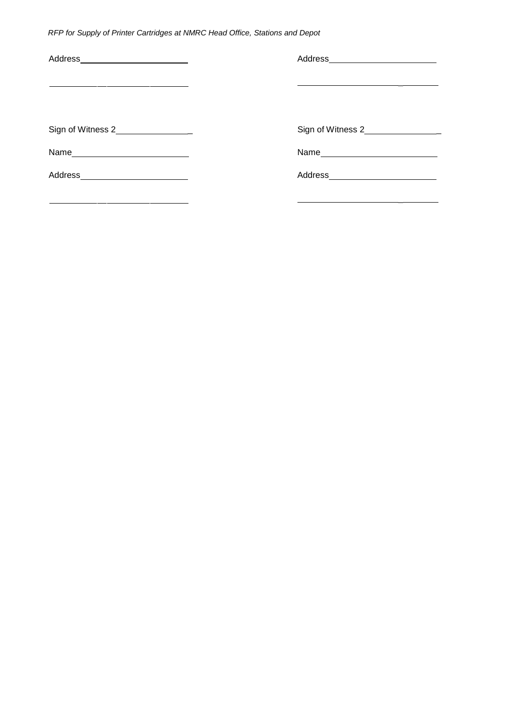*RFP for Supply of Printer Cartridges at NMRC Head Office, Stations and Depot*

| Address_________________________    |                   |
|-------------------------------------|-------------------|
|                                     |                   |
|                                     |                   |
| Sign of Witness 2__________________ | Sign of Witness 2 |
|                                     | Name              |
| Address___________________________  |                   |
|                                     |                   |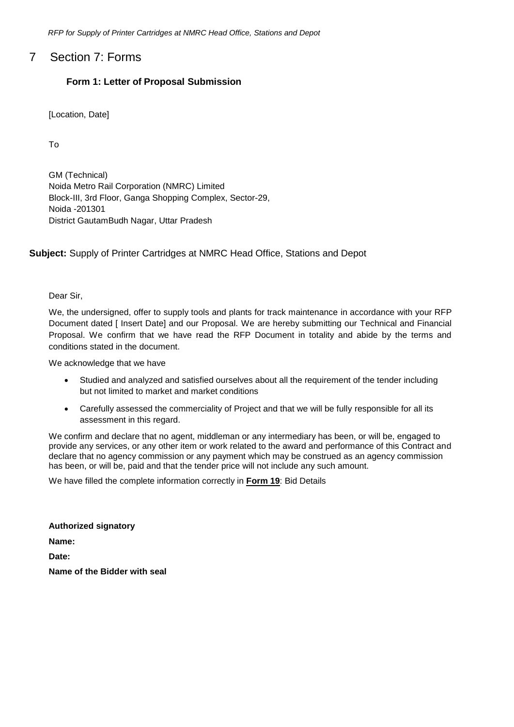*RFP for Supply of Printer Cartridges at NMRC Head Office, Stations and Depot*

### <span id="page-27-0"></span>7 Section 7: Forms

#### **Form 1: Letter of Proposal Submission**

[Location, Date]

To

GM (Technical) Noida Metro Rail Corporation (NMRC) Limited Block-III, 3rd Floor, Ganga Shopping Complex, Sector-29, Noida -201301 District GautamBudh Nagar, Uttar Pradesh

**Subject:** Supply of Printer Cartridges at NMRC Head Office, Stations and Depot

Dear Sir,

We, the undersigned, offer to supply tools and plants for track maintenance in accordance with your RFP Document dated [ Insert Date] and our Proposal. We are hereby submitting our Technical and Financial Proposal. We confirm that we have read the RFP Document in totality and abide by the terms and conditions stated in the document.

We acknowledge that we have

- Studied and analyzed and satisfied ourselves about all the requirement of the tender including but not limited to market and market conditions
- Carefully assessed the commerciality of Project and that we will be fully responsible for all its assessment in this regard.

We confirm and declare that no agent, middleman or any intermediary has been, or will be, engaged to provide any services, or any other item or work related to the award and performance of this Contract and declare that no agency commission or any payment which may be construed as an agency commission has been, or will be, paid and that the tender price will not include any such amount.

We have filled the complete information correctly in **Form 19**: Bid Details

**Authorized signatory Name: Date: Name of the Bidder with seal**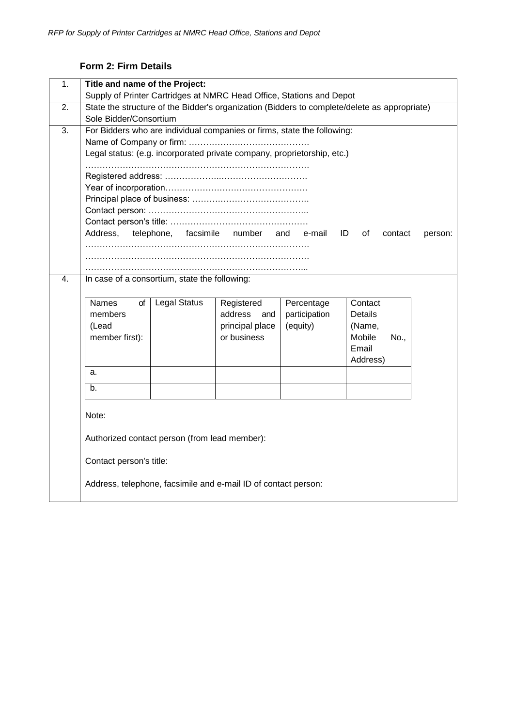### **Form 2: Firm Details**

<span id="page-28-0"></span>

| 1. | Title and name of the Project:<br>Supply of Printer Cartridges at NMRC Head Office, Stations and Depot                                                                                                                                                                                                                                                                                                                                                                           |  |  |  |  |
|----|----------------------------------------------------------------------------------------------------------------------------------------------------------------------------------------------------------------------------------------------------------------------------------------------------------------------------------------------------------------------------------------------------------------------------------------------------------------------------------|--|--|--|--|
| 2. | State the structure of the Bidder's organization (Bidders to complete/delete as appropriate)<br>Sole Bidder/Consortium                                                                                                                                                                                                                                                                                                                                                           |  |  |  |  |
| 3. | For Bidders who are individual companies or firms, state the following:<br>Legal status: (e.g. incorporated private company, proprietorship, etc.)<br>Address,<br>facsimile<br>number<br>ID<br>telephone,<br>and e-mail<br>οf<br>contact<br>person:                                                                                                                                                                                                                              |  |  |  |  |
|    |                                                                                                                                                                                                                                                                                                                                                                                                                                                                                  |  |  |  |  |
| 4. | In case of a consortium, state the following:<br>Names<br><b>Legal Status</b><br>Registered<br>Percentage<br>Contact<br>οf<br>members<br>address<br>participation<br>Details<br>and<br>principal place<br>(Lead<br>(equity)<br>(Name,<br>member first):<br>or business<br>Mobile<br>No.,<br>Email<br>Address)<br>a.<br>b.<br>Note:<br>Authorized contact person (from lead member):<br>Contact person's title:<br>Address, telephone, facsimile and e-mail ID of contact person: |  |  |  |  |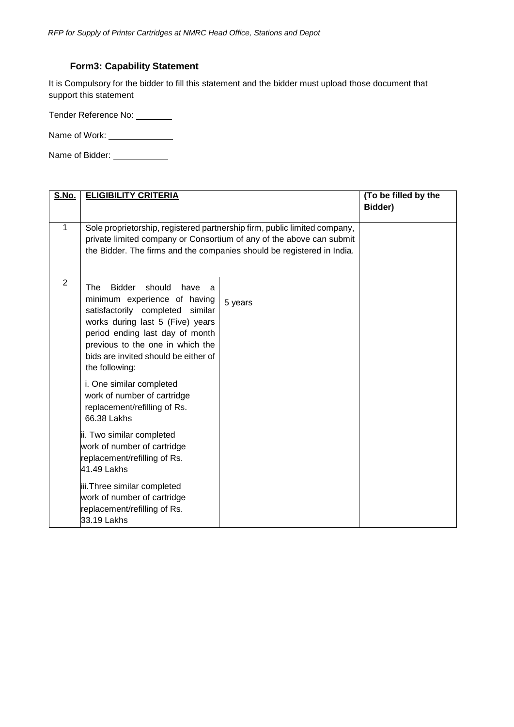#### **Form3: Capability Statement**

<span id="page-29-0"></span>It is Compulsory for the bidder to fill this statement and the bidder must upload those document that support this statement

Tender Reference No: \_\_\_\_\_\_\_\_

Name of Work: \_\_\_\_\_\_\_\_\_\_\_\_\_\_\_\_

Name of Bidder: \_\_\_\_\_\_\_\_\_\_\_\_\_

| S.No.          | <b>ELIGIBILITY CRITERIA</b>                                                                                                                                                                                                                                                                                                                                                     | (To be filled by the<br>Bidder)                                                                                                                                                                                             |  |
|----------------|---------------------------------------------------------------------------------------------------------------------------------------------------------------------------------------------------------------------------------------------------------------------------------------------------------------------------------------------------------------------------------|-----------------------------------------------------------------------------------------------------------------------------------------------------------------------------------------------------------------------------|--|
| 1              |                                                                                                                                                                                                                                                                                                                                                                                 | Sole proprietorship, registered partnership firm, public limited company,<br>private limited company or Consortium of any of the above can submit<br>the Bidder. The firms and the companies should be registered in India. |  |
| $\overline{2}$ | <b>Bidder</b><br>The<br>should<br>have<br>a<br>minimum experience of having<br>satisfactorily completed similar<br>works during last 5 (Five) years<br>period ending last day of month<br>previous to the one in which the<br>bids are invited should be either of<br>the following:<br>i. One similar completed<br>work of number of cartridge<br>replacement/refilling of Rs. | 5 years                                                                                                                                                                                                                     |  |
|                | 66.38 Lakhs<br>ii. Two similar completed<br>work of number of cartridge<br>replacement/refilling of Rs.<br>41.49 Lakhs<br>iii.Three similar completed<br>work of number of cartridge<br>replacement/refilling of Rs.<br>33.19 Lakhs                                                                                                                                             |                                                                                                                                                                                                                             |  |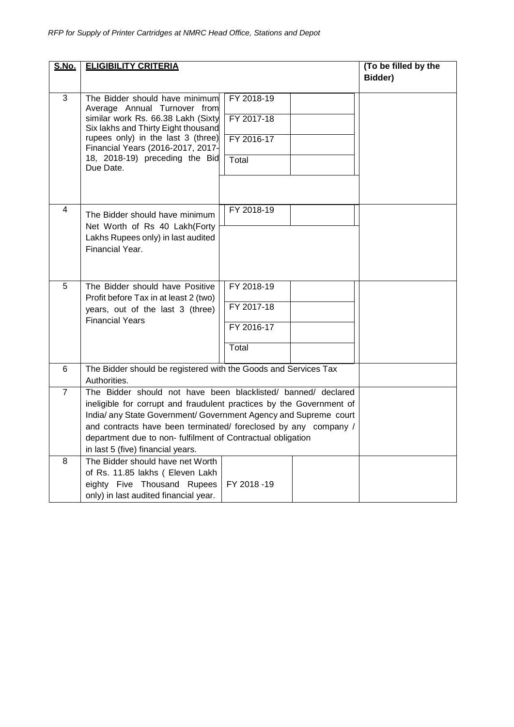| S.No.          | <b>ELIGIBILITY CRITERIA</b>                                                                                                              | (To be filled by the |  |         |
|----------------|------------------------------------------------------------------------------------------------------------------------------------------|----------------------|--|---------|
|                |                                                                                                                                          |                      |  | Bidder) |
| 3              | The Bidder should have minimum<br>Average Annual Turnover from                                                                           | FY 2018-19           |  |         |
|                | similar work Rs. 66.38 Lakh (Sixty<br>Six lakhs and Thirty Eight thousand                                                                | FY 2017-18           |  |         |
|                | rupees only) in the last 3 (three)<br>Financial Years (2016-2017, 2017-                                                                  | FY 2016-17           |  |         |
|                | 18, 2018-19) preceding the Bid<br>Due Date.                                                                                              | Total                |  |         |
|                |                                                                                                                                          |                      |  |         |
| 4              | The Bidder should have minimum                                                                                                           | FY 2018-19           |  |         |
|                | Net Worth of Rs 40 Lakh(Forty<br>Lakhs Rupees only) in last audited                                                                      |                      |  |         |
|                | Financial Year.                                                                                                                          |                      |  |         |
| 5              | The Bidder should have Positive                                                                                                          | FY 2018-19           |  |         |
|                | Profit before Tax in at least 2 (two)<br>years, out of the last 3 (three)                                                                | FY 2017-18           |  |         |
|                | <b>Financial Years</b>                                                                                                                   | FY 2016-17           |  |         |
|                |                                                                                                                                          | Total                |  |         |
| 6              | The Bidder should be registered with the Goods and Services Tax<br>Authorities.                                                          |                      |  |         |
| $\overline{7}$ | The Bidder should not have been blacklisted/ banned/ declared                                                                            |                      |  |         |
|                | ineligible for corrupt and fraudulent practices by the Government of<br>India/ any State Government/ Government Agency and Supreme court |                      |  |         |
|                | and contracts have been terminated/ foreclosed by any company /                                                                          |                      |  |         |
|                | department due to non- fulfilment of Contractual obligation<br>in last 5 (five) financial years.                                         |                      |  |         |
| 8              | The Bidder should have net Worth                                                                                                         |                      |  |         |
|                | of Rs. 11.85 lakhs ( Eleven Lakh<br>eighty Five Thousand Rupees                                                                          | FY 2018 -19          |  |         |
|                | only) in last audited financial year.                                                                                                    |                      |  |         |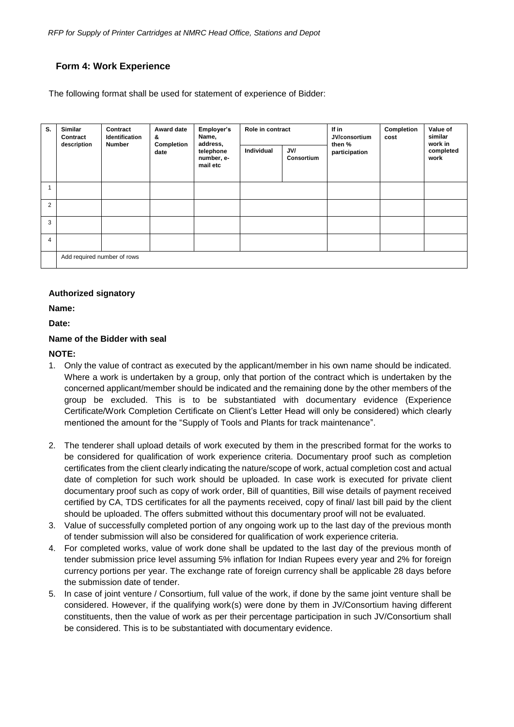#### <span id="page-31-0"></span> **Form 4: Work Experience**

The following format shall be used for statement of experience of Bidder:

| S.             | Similar<br>Contract<br>description | Contract<br>Identification  | Award date<br>&    | Employer's<br>Name,<br>address,<br>telephone<br>number, e-<br>mail etc | Role in contract |                   | If in<br>JV/consortium  | Completion<br>cost | Value of<br>similar          |
|----------------|------------------------------------|-----------------------------|--------------------|------------------------------------------------------------------------|------------------|-------------------|-------------------------|--------------------|------------------------------|
|                |                                    | <b>Number</b>               | Completion<br>date |                                                                        | Individual       | JV/<br>Consortium | then %<br>participation |                    | work in<br>completed<br>work |
|                |                                    |                             |                    |                                                                        |                  |                   |                         |                    |                              |
| $\overline{2}$ |                                    |                             |                    |                                                                        |                  |                   |                         |                    |                              |
| 3              |                                    |                             |                    |                                                                        |                  |                   |                         |                    |                              |
| 4              |                                    |                             |                    |                                                                        |                  |                   |                         |                    |                              |
|                |                                    | Add required number of rows |                    |                                                                        |                  |                   |                         |                    |                              |

#### **Authorized signatory**

**Name:**

**Date:**

#### **Name of the Bidder with seal**

#### **NOTE:**

- 1. Only the value of contract as executed by the applicant/member in his own name should be indicated. Where a work is undertaken by a group, only that portion of the contract which is undertaken by the concerned applicant/member should be indicated and the remaining done by the other members of the group be excluded. This is to be substantiated with documentary evidence (Experience Certificate/Work Completion Certificate on Client's Letter Head will only be considered) which clearly mentioned the amount for the "Supply of Tools and Plants for track maintenance".
- 2. The tenderer shall upload details of work executed by them in the prescribed format for the works to be considered for qualification of work experience criteria. Documentary proof such as completion certificates from the client clearly indicating the nature/scope of work, actual completion cost and actual date of completion for such work should be uploaded. In case work is executed for private client documentary proof such as copy of work order, Bill of quantities, Bill wise details of payment received certified by CA, TDS certificates for all the payments received, copy of final/ last bill paid by the client should be uploaded. The offers submitted without this documentary proof will not be evaluated.
- 3. Value of successfully completed portion of any ongoing work up to the last day of the previous month of tender submission will also be considered for qualification of work experience criteria.
- 4. For completed works, value of work done shall be updated to the last day of the previous month of tender submission price level assuming 5% inflation for Indian Rupees every year and 2% for foreign currency portions per year. The exchange rate of foreign currency shall be applicable 28 days before the submission date of tender.
- 5. In case of joint venture / Consortium, full value of the work, if done by the same joint venture shall be considered. However, if the qualifying work(s) were done by them in JV/Consortium having different constituents, then the value of work as per their percentage participation in such JV/Consortium shall be considered. This is to be substantiated with documentary evidence.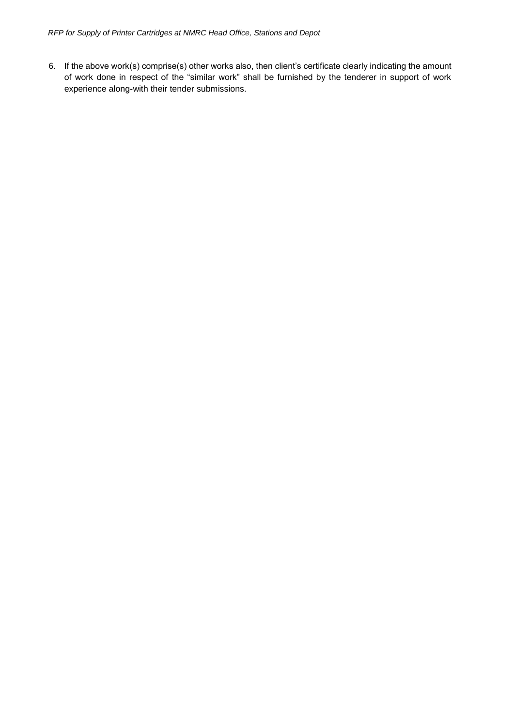6. If the above work(s) comprise(s) other works also, then client's certificate clearly indicating the amount of work done in respect of the "similar work" shall be furnished by the tenderer in support of work experience along-with their tender submissions.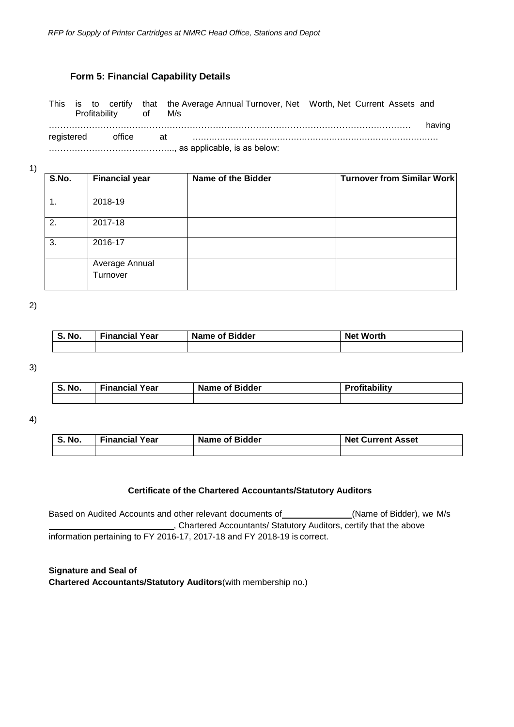#### **Form 5: Financial Capability Details**

<span id="page-33-0"></span>This is to certify that the Average Annual Turnover, Net Worth, Net Current Assets and Profitability of M/s ……………………………………………………………………………………………………………… having registered office at ………………………………………………………………………………

…………………………………….., as applicable, is as below:

1)

| S.No. | <b>Financial year</b>      | Name of the Bidder | <b>Turnover from Similar Work</b> |
|-------|----------------------------|--------------------|-----------------------------------|
|       | 2018-19                    |                    |                                   |
| 2.    | 2017-18                    |                    |                                   |
| 3.    | 2016-17                    |                    |                                   |
|       | Average Annual<br>Turnover |                    |                                   |

2)

| `No.<br>$\mathbf{\mathbf{c}}$<br>. ಎ. | 'Year<br>Financial | <b>Name of Bidder</b> | <b>Net Worth</b> |
|---------------------------------------|--------------------|-----------------------|------------------|
|                                       |                    |                       |                  |

3)

| <b>S. No.</b> | <b>Financial Year</b> | <b>Name of Bidder</b> | Profitability |
|---------------|-----------------------|-----------------------|---------------|
|               |                       |                       |               |

4)

| <b>S. No.</b> | <b>Financial Year</b> | <b>Name of Bidder</b> | <b>Net Current Asset</b> |  |
|---------------|-----------------------|-----------------------|--------------------------|--|
|               |                       |                       |                          |  |

#### **Certificate of the Chartered Accountants/Statutory Auditors**

Based on Audited Accounts and other relevant documents of \_\_\_\_\_\_\_\_\_\_\_\_\_(Name of Bidder), we M/s , Chartered Accountants/ Statutory Auditors, certify that the above information pertaining to FY 2016-17, 2017-18 and FY 2018-19 is correct.

**Signature and Seal of Chartered Accountants/Statutory Auditors**(with membership no.)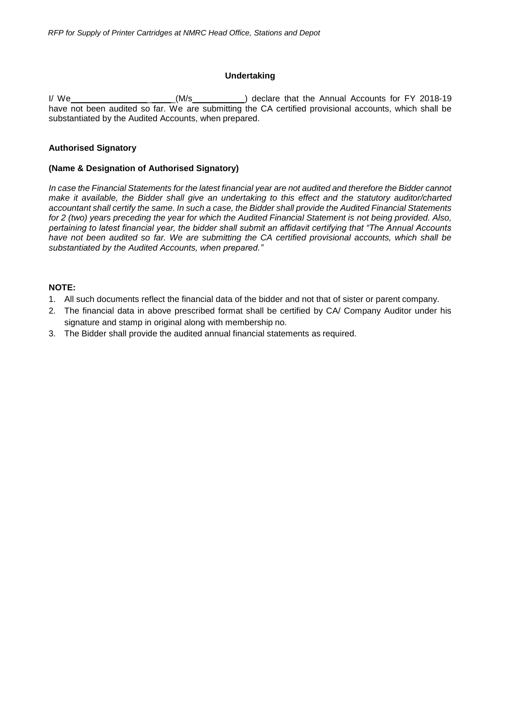#### **Undertaking**

I/ We \_ \_(M/s ) declare that the Annual Accounts for FY 2018-19 have not been audited so far. We are submitting the CA certified provisional accounts, which shall be substantiated by the Audited Accounts, when prepared.

#### **Authorised Signatory**

#### **(Name & Designation of Authorised Signatory)**

*In case the Financial Statements for the latest financial year are not audited and therefore the Bidder cannot make it available, the Bidder shall give an undertaking to this effect and the statutory auditor/charted accountant shall certify the same. In such a case, the Bidder shall provide the Audited Financial Statements for 2 (two) years preceding the year for which the Audited Financial Statement is not being provided. Also, pertaining to latest financial year, the bidder shall submit an affidavit certifying that "The Annual Accounts have not been audited so far. We are submitting the CA certified provisional accounts, which shall be substantiated by the Audited Accounts, when prepared."*

#### **NOTE:**

- 1. All such documents reflect the financial data of the bidder and not that of sister or parent company.
- 2. The financial data in above prescribed format shall be certified by CA/ Company Auditor under his signature and stamp in original along with membership no.
- 3. The Bidder shall provide the audited annual financial statements as required.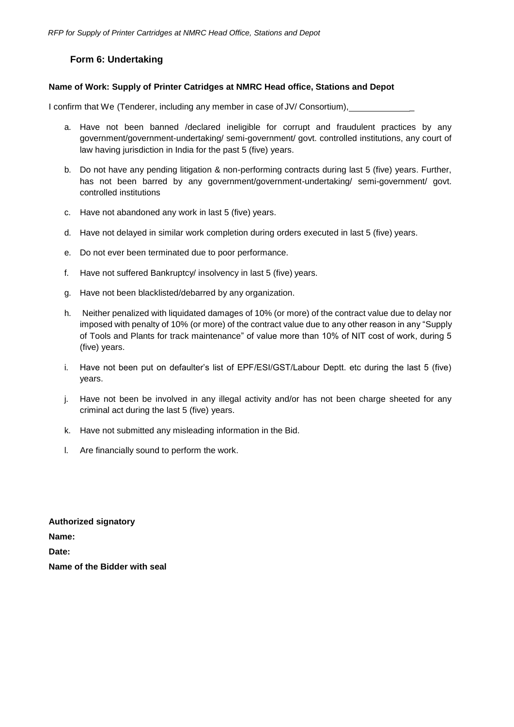#### **Form 6: Undertaking**

#### <span id="page-35-0"></span>**Name of Work: Supply of Printer Catridges at NMRC Head office, Stations and Depot**

I confirm that We (Tenderer, including any member in case of JV/ Consortium),

- a. Have not been banned /declared ineligible for corrupt and fraudulent practices by any government/government-undertaking/ semi-government/ govt. controlled institutions, any court of law having jurisdiction in India for the past 5 (five) years.
- b. Do not have any pending litigation & non-performing contracts during last 5 (five) years. Further, has not been barred by any government/government-undertaking/ semi-government/ govt. controlled institutions
- c. Have not abandoned any work in last 5 (five) years.
- d. Have not delayed in similar work completion during orders executed in last 5 (five) years.
- e. Do not ever been terminated due to poor performance.
- f. Have not suffered Bankruptcy/ insolvency in last 5 (five) years.
- g. Have not been blacklisted/debarred by any organization.
- h. Neither penalized with liquidated damages of 10% (or more) of the contract value due to delay nor imposed with penalty of 10% (or more) of the contract value due to any other reason in any "Supply of Tools and Plants for track maintenance" of value more than 10% of NIT cost of work, during 5 (five) years.
- i. Have not been put on defaulter's list of EPF/ESI/GST/Labour Deptt. etc during the last 5 (five) years.
- j. Have not been be involved in any illegal activity and/or has not been charge sheeted for any criminal act during the last 5 (five) years.
- k. Have not submitted any misleading information in the Bid.
- l. Are financially sound to perform the work.

**Authorized signatory Name: Date: Name of the Bidder with seal**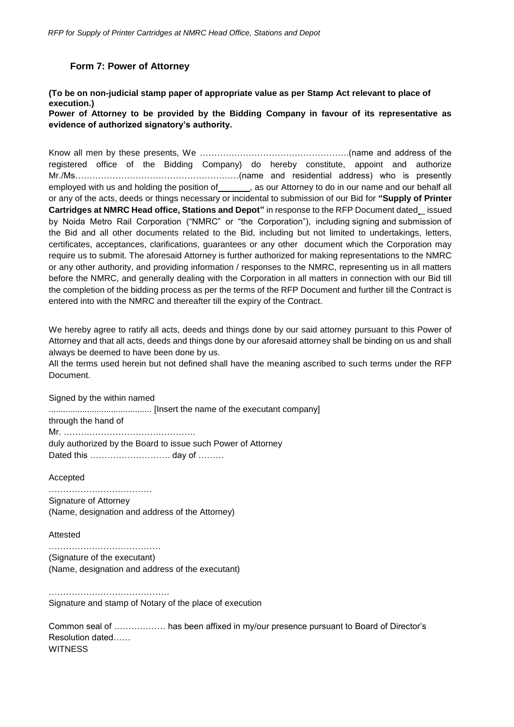#### **Form 7: Power of Attorney**

#### <span id="page-36-0"></span>**(To be on non-judicial stamp paper of appropriate value as per Stamp Act relevant to place of execution.)**

**Power of Attorney to be provided by the Bidding Company in favour of its representative as evidence of authorized signatory's authority.**

Know all men by these presents, We …………………………………………….(name and address of the registered office of the Bidding Company) do hereby constitute, appoint and authorize Mr./Ms…………………………………………………(name and residential address) who is presently employed with us and holding the position of \_\_\_\_\_\_\_, as our Attorney to do in our name and our behalf all or any of the acts, deeds or things necessary or incidental to submission of our Bid for **"Supply of Printer Cartridges at NMRC Head office, Stations and Depot"** in response to the RFP Document dated \_ issued by Noida Metro Rail Corporation ("NMRC" or "the Corporation"), including signing and submission of the Bid and all other documents related to the Bid, including but not limited to undertakings, letters, certificates, acceptances, clarifications, guarantees or any other document which the Corporation may require us to submit. The aforesaid Attorney is further authorized for making representations to the NMRC or any other authority, and providing information / responses to the NMRC, representing us in all matters before the NMRC, and generally dealing with the Corporation in all matters in connection with our Bid till the completion of the bidding process as per the terms of the RFP Document and further till the Contract is entered into with the NMRC and thereafter till the expiry of the Contract.

We hereby agree to ratify all acts, deeds and things done by our said attorney pursuant to this Power of Attorney and that all acts, deeds and things done by our aforesaid attorney shall be binding on us and shall always be deemed to have been done by us.

All the terms used herein but not defined shall have the meaning ascribed to such terms under the RFP Document.

Signed by the within named

........................................... [Insert the name of the executant company]

through the hand of Mr. ………………………………………. duly authorized by the Board to issue such Power of Attorney Dated this ………………………. day of ………

Accepted

……………………………… Signature of Attorney (Name, designation and address of the Attorney)

Attested

…………………………………………… (Signature of the executant) (Name, designation and address of the executant)

…………………………………… Signature and stamp of Notary of the place of execution

Common seal of ……………… has been affixed in my/our presence pursuant to Board of Director's Resolution dated…… **WITNESS**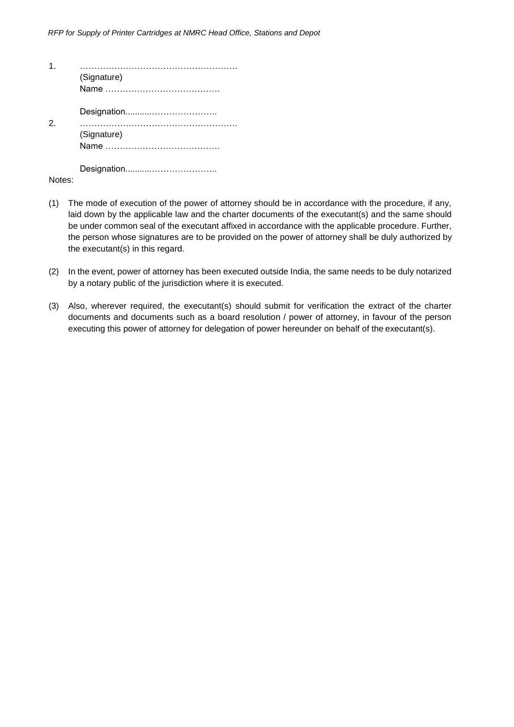| (Signature) |
|-------------|
| (Signature) |
|             |

Notes:

- (1) The mode of execution of the power of attorney should be in accordance with the procedure, if any, laid down by the applicable law and the charter documents of the executant(s) and the same should be under common seal of the executant affixed in accordance with the applicable procedure. Further, the person whose signatures are to be provided on the power of attorney shall be duly authorized by the executant(s) in this regard.
- (2) In the event, power of attorney has been executed outside India, the same needs to be duly notarized by a notary public of the jurisdiction where it is executed.
- (3) Also, wherever required, the executant(s) should submit for verification the extract of the charter documents and documents such as a board resolution / power of attorney, in favour of the person executing this power of attorney for delegation of power hereunder on behalf of the executant(s).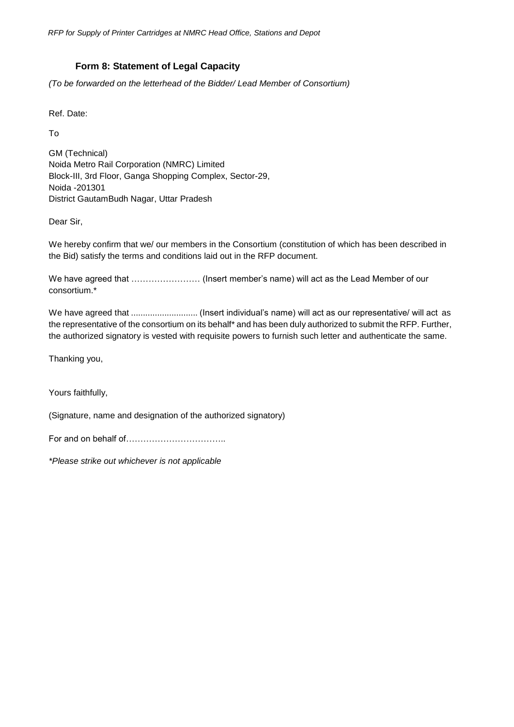*RFP for Supply of Printer Cartridges at NMRC Head Office, Stations and Depot*

#### **Form 8: Statement of Legal Capacity**

<span id="page-38-0"></span>*(To be forwarded on the letterhead of the Bidder/ Lead Member of Consortium)*

Ref. Date:

To

GM (Technical) Noida Metro Rail Corporation (NMRC) Limited Block-III, 3rd Floor, Ganga Shopping Complex, Sector-29, Noida -201301 District GautamBudh Nagar, Uttar Pradesh

Dear Sir,

We hereby confirm that we/ our members in the Consortium (constitution of which has been described in the Bid) satisfy the terms and conditions laid out in the RFP document.

We have agreed that …………………… (Insert member's name) will act as the Lead Member of our consortium.\*

We have agreed that ............................ (Insert individual's name) will act as our representative/ will act as the representative of the consortium on its behalf\* and has been duly authorized to submit the RFP. Further, the authorized signatory is vested with requisite powers to furnish such letter and authenticate the same.

Thanking you,

Yours faithfully,

(Signature, name and designation of the authorized signatory)

For and on behalf of……………………………

*\*Please strike out whichever is not applicable*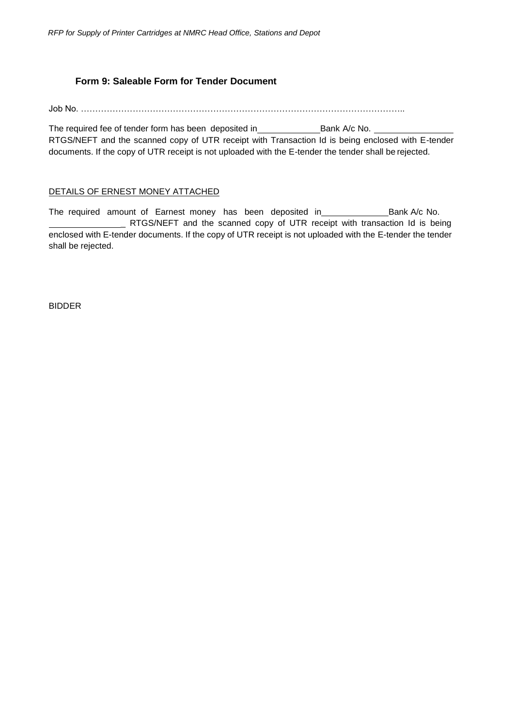#### **Form 9: Saleable Form for Tender Document**

<span id="page-39-0"></span>Job No. …………………………………………………………………………………………………..

The required fee of tender form has been deposited in \_\_\_\_\_\_\_\_\_\_\_\_\_\_\_\_\_\_\_\_\_\_\_\_\_\_\_Bank A/c No. RTGS/NEFT and the scanned copy of UTR receipt with Transaction Id is being enclosed with E-tender documents. If the copy of UTR receipt is not uploaded with the E-tender the tender shall be rejected.

#### DETAILS OF ERNEST MONEY ATTACHED

The required amount of Earnest money has been deposited in \_\_\_\_\_\_\_\_\_\_\_\_\_\_\_\_\_\_\_\_\_Bank A/c No. **EXECUTE ATTERS/NEFT** and the scanned copy of UTR receipt with transaction Id is being enclosed with E-tender documents. If the copy of UTR receipt is not uploaded with the E-tender the tender shall be rejected.

BIDDER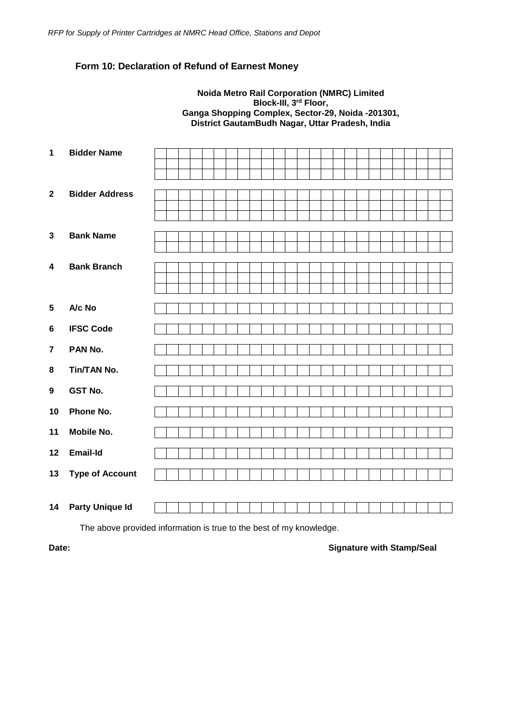#### <span id="page-40-0"></span>**Form 10: Declaration of Refund of Earnest Money**

#### **Noida Metro Rail Corporation (NMRC) Limited Block-III, 3rd Floor, Ganga Shopping Complex, Sector-29, Noida -201301, District GautamBudh Nagar, Uttar Pradesh, India**

| $\mathbf 1$      | <b>Bidder Name</b>     |  |
|------------------|------------------------|--|
|                  |                        |  |
| $\mathbf{2}$     | <b>Bidder Address</b>  |  |
|                  |                        |  |
|                  |                        |  |
| $\mathbf{3}$     | <b>Bank Name</b>       |  |
|                  |                        |  |
| 4                | <b>Bank Branch</b>     |  |
|                  |                        |  |
|                  |                        |  |
| $5\phantom{.0}$  | A/c No                 |  |
| $6\phantom{1}$   | <b>IFSC Code</b>       |  |
| $\overline{7}$   | PAN No.                |  |
| 8                | Tin/TAN No.            |  |
| $\boldsymbol{9}$ | <b>GST No.</b>         |  |
| 10               | Phone No.              |  |
| 11               | <b>Mobile No.</b>      |  |
| 12               | Email-Id               |  |
| 13               | <b>Type of Account</b> |  |
|                  |                        |  |
| 14               | <b>Party Unique Id</b> |  |
|                  |                        |  |

The above provided information is true to the best of my knowledge.

#### **Date: Date: Signature with Stamp/Seal**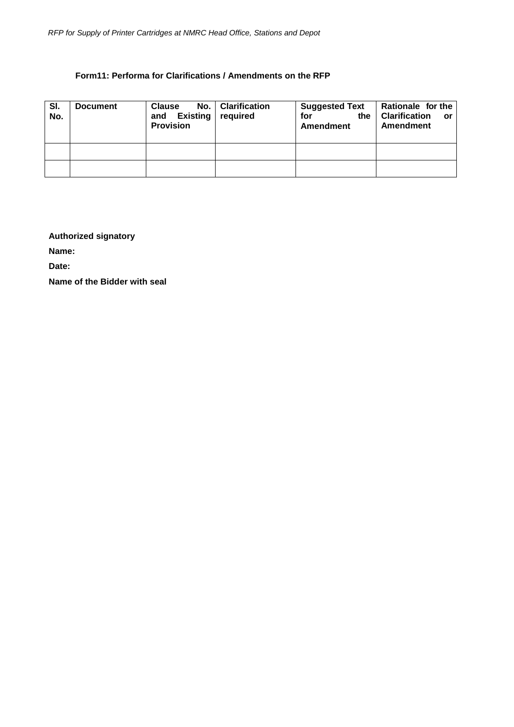#### **Form11: Performa for Clarifications / Amendments on the RFP**

<span id="page-41-0"></span>

| SI.<br>No. | <b>Document</b> | <b>Clause</b><br>Existing required<br>and<br><b>Provision</b> | No.   Clarification | <b>Suggested Text</b><br>for<br>the<br>Amendment | Rationale for the<br><b>Clarification</b><br>$\overline{\mathbf{r}}$<br><b>Amendment</b> |
|------------|-----------------|---------------------------------------------------------------|---------------------|--------------------------------------------------|------------------------------------------------------------------------------------------|
|            |                 |                                                               |                     |                                                  |                                                                                          |
|            |                 |                                                               |                     |                                                  |                                                                                          |

#### **Authorized signatory**

**Name:**

**Date:**

**Name of the Bidder with seal**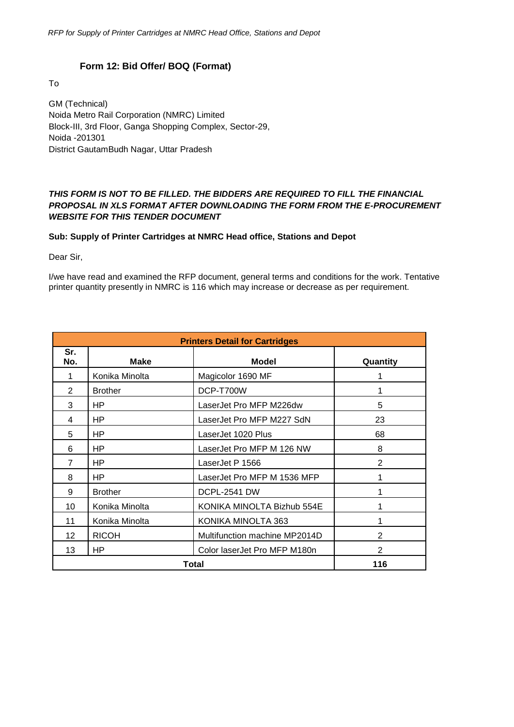#### **Form 12: Bid Offer/ BOQ (Format)**

<span id="page-42-0"></span>To

GM (Technical) Noida Metro Rail Corporation (NMRC) Limited Block-III, 3rd Floor, Ganga Shopping Complex, Sector-29, Noida -201301 District GautamBudh Nagar, Uttar Pradesh

#### *THIS FORM IS NOT TO BE FILLED. THE BIDDERS ARE REQUIRED TO FILL THE FINANCIAL PROPOSAL IN XLS FORMAT AFTER DOWNLOADING THE FORM FROM THE E-PROCUREMENT WEBSITE FOR THIS TENDER DOCUMENT*

#### **Sub: Supply of Printer Cartridges at NMRC Head office, Stations and Depot**

Dear Sir,

I/we have read and examined the RFP document, general terms and conditions for the work. Tentative printer quantity presently in NMRC is 116 which may increase or decrease as per requirement.

| <b>Printers Detail for Cartridges</b> |                |                               |          |  |
|---------------------------------------|----------------|-------------------------------|----------|--|
| Sr.<br>No.                            | Make           | Model                         | Quantity |  |
|                                       | Konika Minolta | Magicolor 1690 MF             |          |  |
| $\overline{2}$                        | <b>Brother</b> | DCP-T700W                     |          |  |
| 3                                     | HP             | LaserJet Pro MFP M226dw       | 5        |  |
| 4                                     | HP             | LaserJet Pro MFP M227 SdN     | 23       |  |
| 5                                     | HP             | LaserJet 1020 Plus            | 68       |  |
| 6                                     | HP             | LaserJet Pro MFP M 126 NW     | 8        |  |
| $\overline{7}$                        | HP             | LaserJet P 1566               | 2        |  |
| 8                                     | HP             | LaserJet Pro MFP M 1536 MFP   |          |  |
| 9                                     | <b>Brother</b> | <b>DCPL-2541 DW</b>           |          |  |
| 10                                    | Konika Minolta | KONIKA MINOLTA Bizhub 554E    |          |  |
| 11                                    | Konika Minolta | KONIKA MINOLTA 363            |          |  |
| 12                                    | <b>RICOH</b>   | Multifunction machine MP2014D | 2        |  |
| 13                                    | HP             | Color laserJet Pro MFP M180n  | 2        |  |
|                                       | Total          | 116                           |          |  |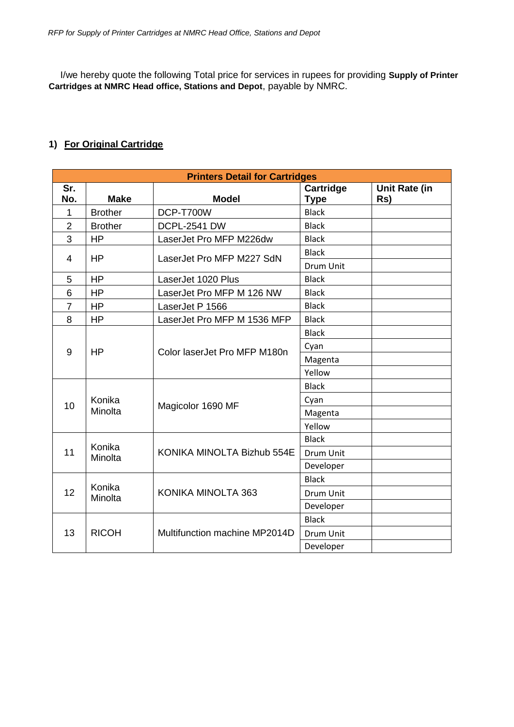I/we hereby quote the following Total price for services in rupees for providing **Supply of Printer Cartridges at NMRC Head office, Stations and Depot**, payable by NMRC.

#### **1) For Original Cartridge**

| <b>Printers Detail for Cartridges</b> |                   |                               |                          |                      |  |
|---------------------------------------|-------------------|-------------------------------|--------------------------|----------------------|--|
| Sr.<br>No.                            | <b>Make</b>       | <b>Model</b>                  | Cartridge<br><b>Type</b> | Unit Rate (in<br>Rs) |  |
| 1                                     | <b>Brother</b>    | DCP-T700W                     | <b>Black</b>             |                      |  |
| $\overline{2}$                        | <b>Brother</b>    | <b>DCPL-2541 DW</b>           | <b>Black</b>             |                      |  |
| 3                                     | <b>HP</b>         | LaserJet Pro MFP M226dw       | <b>Black</b>             |                      |  |
| $\overline{4}$                        | <b>HP</b>         | LaserJet Pro MFP M227 SdN     | <b>Black</b>             |                      |  |
|                                       |                   |                               | Drum Unit                |                      |  |
| 5                                     | <b>HP</b>         | LaserJet 1020 Plus            | <b>Black</b>             |                      |  |
| 6                                     | <b>HP</b>         | LaserJet Pro MFP M 126 NW     | <b>Black</b>             |                      |  |
| $\overline{7}$                        | <b>HP</b>         | LaserJet P 1566               | <b>Black</b>             |                      |  |
| 8                                     | <b>HP</b>         | LaserJet Pro MFP M 1536 MFP   | <b>Black</b>             |                      |  |
|                                       |                   | Color laserJet Pro MFP M180n  | <b>Black</b>             |                      |  |
| 9                                     | HP                |                               | Cyan                     |                      |  |
|                                       |                   |                               | Magenta                  |                      |  |
|                                       |                   |                               | Yellow                   |                      |  |
|                                       |                   |                               | <b>Black</b>             |                      |  |
| 10                                    | Konika<br>Minolta | Magicolor 1690 MF             | Cyan                     |                      |  |
|                                       |                   |                               | Magenta                  |                      |  |
|                                       |                   |                               | Yellow                   |                      |  |
|                                       |                   |                               | <b>Black</b>             |                      |  |
| 11                                    | Konika<br>Minolta | KONIKA MINOLTA Bizhub 554E    | Drum Unit                |                      |  |
|                                       |                   |                               | Developer                |                      |  |
|                                       |                   |                               | <b>Black</b>             |                      |  |
| 12                                    | Konika<br>Minolta | KONIKA MINOLTA 363            | Drum Unit                |                      |  |
|                                       |                   |                               | Developer                |                      |  |
|                                       | <b>RICOH</b>      | Multifunction machine MP2014D | <b>Black</b>             |                      |  |
| 13                                    |                   |                               | Drum Unit                |                      |  |
|                                       |                   |                               | Developer                |                      |  |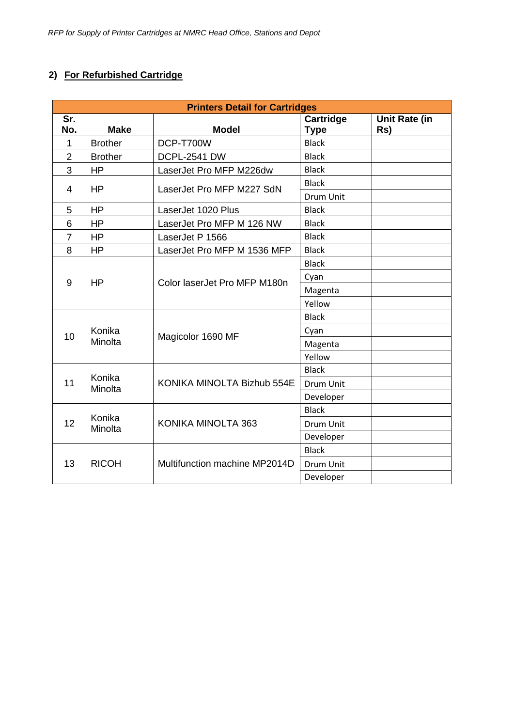### **2) For Refurbished Cartridge**

| <b>Printers Detail for Cartridges</b> |                   |                               |                          |                      |  |
|---------------------------------------|-------------------|-------------------------------|--------------------------|----------------------|--|
| $\overline{\mathsf{Sr.}}$<br>No.      | <b>Make</b>       | <b>Model</b>                  | Cartridge<br><b>Type</b> | Unit Rate (in<br>Rs) |  |
| 1                                     | <b>Brother</b>    | DCP-T700W                     | <b>Black</b>             |                      |  |
| $\overline{2}$                        | <b>Brother</b>    | <b>DCPL-2541 DW</b>           | <b>Black</b>             |                      |  |
| 3                                     | <b>HP</b>         | LaserJet Pro MFP M226dw       | <b>Black</b>             |                      |  |
| $\overline{4}$                        | <b>HP</b>         | LaserJet Pro MFP M227 SdN     | <b>Black</b>             |                      |  |
|                                       |                   |                               | <b>Drum Unit</b>         |                      |  |
| 5                                     | HP                | LaserJet 1020 Plus            | <b>Black</b>             |                      |  |
| 6                                     | <b>HP</b>         | LaserJet Pro MFP M 126 NW     | <b>Black</b>             |                      |  |
| $\overline{7}$                        | <b>HP</b>         | LaserJet P 1566               | <b>Black</b>             |                      |  |
| 8                                     | <b>HP</b>         | LaserJet Pro MFP M 1536 MFP   | <b>Black</b>             |                      |  |
|                                       |                   |                               | <b>Black</b>             |                      |  |
| 9                                     | <b>HP</b>         | Color laserJet Pro MFP M180n  | Cyan                     |                      |  |
|                                       |                   |                               | Magenta                  |                      |  |
|                                       |                   |                               | Yellow                   |                      |  |
|                                       |                   |                               | <b>Black</b>             |                      |  |
| 10                                    | Konika<br>Minolta | Magicolor 1690 MF             | Cyan                     |                      |  |
|                                       |                   |                               | Magenta                  |                      |  |
|                                       |                   |                               | Yellow                   |                      |  |
|                                       |                   |                               | <b>Black</b>             |                      |  |
| 11                                    | Konika<br>Minolta | KONIKA MINOLTA Bizhub 554E    | Drum Unit                |                      |  |
|                                       |                   |                               | Developer                |                      |  |
|                                       |                   |                               | <b>Black</b>             |                      |  |
| 12                                    | Konika<br>Minolta | KONIKA MINOLTA 363            | Drum Unit                |                      |  |
|                                       |                   |                               | Developer                |                      |  |
|                                       |                   |                               | <b>Black</b>             |                      |  |
| 13                                    | <b>RICOH</b>      | Multifunction machine MP2014D | Drum Unit                |                      |  |
|                                       |                   |                               | Developer                |                      |  |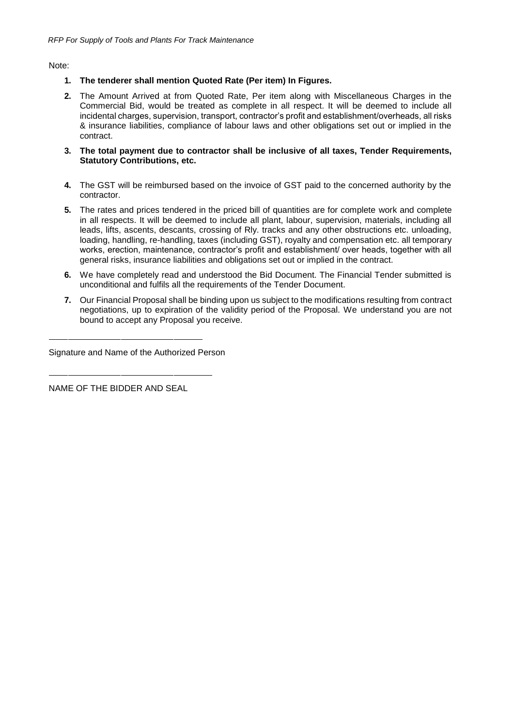Note:

- **1. The tenderer shall mention Quoted Rate (Per item) In Figures.**
- **2.** The Amount Arrived at from Quoted Rate, Per item along with Miscellaneous Charges in the Commercial Bid, would be treated as complete in all respect. It will be deemed to include all incidental charges, supervision, transport, contractor's profit and establishment/overheads, all risks & insurance liabilities, compliance of labour laws and other obligations set out or implied in the contract.
- **3. The total payment due to contractor shall be inclusive of all taxes, Tender Requirements, Statutory Contributions, etc.**
- **4.** The GST will be reimbursed based on the invoice of GST paid to the concerned authority by the contractor.
- **5.** The rates and prices tendered in the priced bill of quantities are for complete work and complete in all respects. It will be deemed to include all plant, labour, supervision, materials, including all leads, lifts, ascents, descants, crossing of Rly. tracks and any other obstructions etc. unloading, loading, handling, re-handling, taxes (including GST), royalty and compensation etc. all temporary works, erection, maintenance, contractor's profit and establishment/ over heads, together with all general risks, insurance liabilities and obligations set out or implied in the contract.
- **6.** We have completely read and understood the Bid Document. The Financial Tender submitted is unconditional and fulfils all the requirements of the Tender Document.
- **7.** Our Financial Proposal shall be binding upon us subject to the modifications resulting from contract negotiations, up to expiration of the validity period of the Proposal. We understand you are not bound to accept any Proposal you receive.

Signature and Name of the Authorized Person

NAME OF THE BIDDER AND SEAL